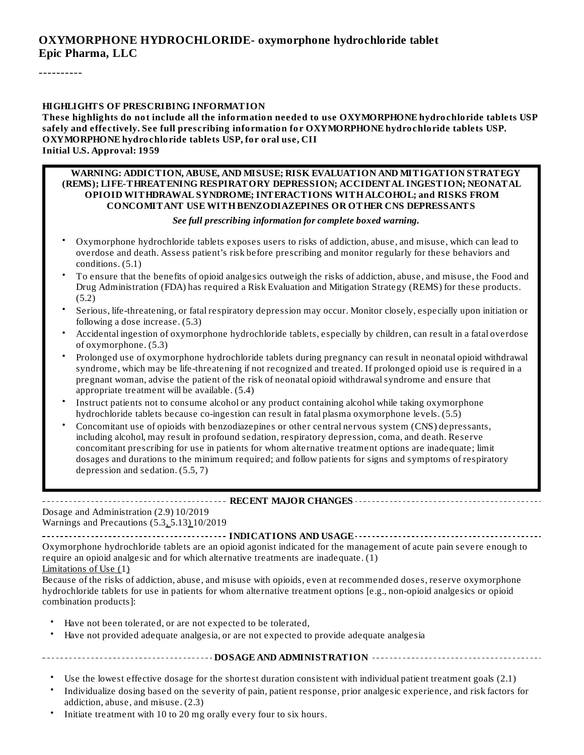#### **OXYMORPHONE HYDROCHLORIDE- oxymorphone hydrochloride tablet Epic Pharma, LLC**

----------

#### **HIGHLIGHTS OF PRESCRIBING INFORMATION**

**These highlights do not include all the information needed to use OXYMORPHONE hydrochloride tablets USP safely and effectively. See full prescribing information for OXYMORPHONE hydrochloride tablets USP. OXYMORPHONE hydrochloride tablets USP, for oral use, CII Initial U.S. Approval: 1959**

#### **WARNING: ADDICTION, ABUSE, AND MISUSE; RISK EVALUATION AND MITIGATION STRATEGY (REMS); LIFE-THREATENING RESPIRATORY DEPRESSION; ACCIDENTAL INGESTION; NEONATAL OPIOID WITHDRAWAL SYNDROME; INTERACTIONS WITHALCOHOL; and RISKS FROM CONCOMITANT USE WITHBENZODIAZEPINES OR OTHER CNS DEPRESSANTS**

#### *See full prescribing information for complete boxed warning.*

- Oxymorphone hydrochloride tablets exposes users to risks of addiction, abuse, and misuse, which can lead to overdose and death. Assess patient's risk before prescribing and monitor regularly for these behaviors and conditions. (5.1)
- To ensure that the benefits of opioid analgesics outweigh the risks of addiction, abuse, and misuse, the Food and Drug Administration (FDA) has required a Risk Evaluation and Mitigation Strategy (REMS) for these products. (5.2)
- Serious, life-threatening, or fatal respiratory depression may occur. Monitor closely, especially upon initiation or following a dose increase. (5.3)
- Accidental ingestion of oxymorphone hydrochloride tablets, especially by children, can result in a fatal overdose of oxymorphone. (5.3)
- Prolonged use of oxymorphone hydrochloride tablets during pregnancy can result in neonatal opioid withdrawal syndrome, which may be life-threatening if not recognized and treated. If prolonged opioid use is required in a pregnant woman, advise the patient of the risk of neonatal opioid withdrawalsyndrome and ensure that appropriate treatment will be available. (5.4)
- Instruct patients not to consume alcohol or any product containing alcohol while taking oxymorphone hydrochloride tablets because co-ingestion can result in fatal plasma oxymorphone levels. (5.5)
- Concomitant use of opioids with benzodiazepines or other central nervous system (CNS) depressants, including alcohol, may result in profound sedation, respiratory depression, coma, and death. Reserve concomitant prescribing for use in patients for whom alternative treatment options are inadequate; limit dosages and durations to the minimum required; and follow patients for signs and symptoms of respiratory depression and sedation. (5.5, 7)

#### **RECENT MAJOR CHANGES**

Dosage and Administration (2.9) 10/2019 Warnings and Precautions (5.3, 5.13) 10/2019

**INDICATIONS AND USAGE**

Oxymorphone hydrochloride tablets are an opioid agonist indicated for the management of acute pain severe enough to require an opioid analgesic and for which alternative treatments are inadequate. (1) Limitations of Use (1)

Because of the risks of addiction, abuse, and misuse with opioids, even at recommended doses, reserve oxymorphone hydrochloride tablets for use in patients for whom alternative treatment options [e.g., non-opioid analgesics or opioid combination products]:

- Have not been tolerated, or are not expected to be tolerated,
- Have not provided adequate analgesia, or are not expected to provide adequate analgesia

#### **DOSAGE AND ADMINISTRATION**

- Use the lowest effective dosage for the shortest duration consistent with individual patient treatment goals (2.1)
- Individualize dosing based on the severity of pain, patient response, prior analgesic experience, and risk factors for addiction, abuse, and misuse. (2.3)
- Initiate treatment with 10 to 20 mg orally every four to six hours.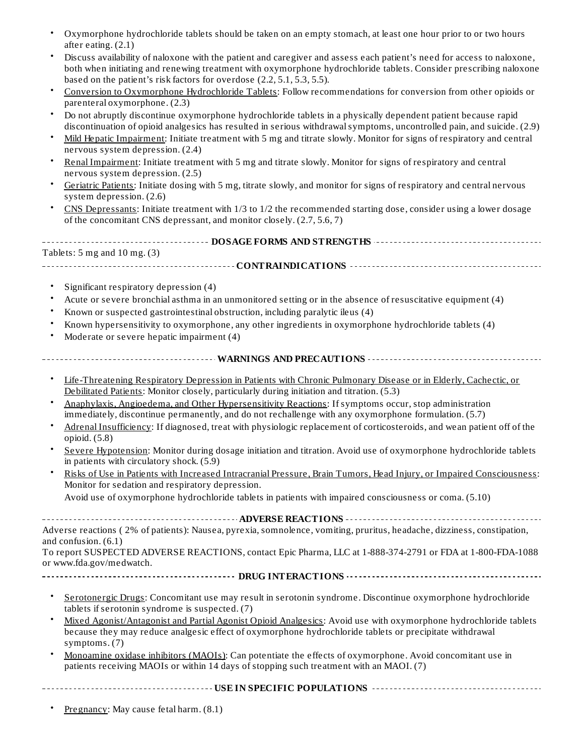- Oxymorphone hydrochloride tablets should be taken on an empty stomach, at least one hour prior to or two hours after eating. (2.1)
- Discuss availability of naloxone with the patient and caregiver and assess each patient's need for access to naloxone, both when initiating and renewing treatment with oxymorphone hydrochloride tablets. Consider prescribing naloxone based on the patient's risk factors for overdose (2.2, 5.1, 5.3, 5.5).
- Conversion to Oxymorphone Hydrochloride Tablets: Follow recommendations for conversion from other opioids or parenteral oxymorphone. (2.3)
- Do not abruptly discontinue oxymorphone hydrochloride tablets in a physically dependent patient because rapid discontinuation of opioid analgesics has resulted in serious withdrawalsymptoms, uncontrolled pain, and suicide. (2.9)
- Mild Hepatic Impairment: Initiate treatment with 5 mg and titrate slowly. Monitor for signs of respiratory and central nervous system depression. (2.4)
- Renal Impairment: Initiate treatment with 5 mg and titrate slowly. Monitor for signs of respiratory and central nervous system depression. (2.5)
- Geriatric Patients: Initiate dosing with 5 mg, titrate slowly, and monitor for signs of respiratory and central nervous system depression. (2.6)
- CNS Depressants: Initiate treatment with 1/3 to 1/2 the recommended starting dose, consider using a lower dosage of the concomitant CNS depressant, and monitor closely. (2.7, 5.6, 7)

| Tablets: $5 \text{ mg}$ and $10 \text{ mg}$ . $(3)$ |
|-----------------------------------------------------|
|                                                     |

- Significant respiratory depression (4)
- Acute or severe bronchial asthma in an unmonitored setting or in the absence of resuscitative equipment (4)
- Known or suspected gastrointestinal obstruction, including paralytic ileus (4)
- Known hypersensitivity to oxymorphone, any other ingredients in oxymorphone hydrochloride tablets (4)
- Moderate or severe hepatic impairment (4)

#### **WARNINGS AND PRECAUTIONS**

- Life-Threatening Respiratory Depression in Patients with Chronic Pulmonary Disease or in Elderly, Cachectic, or Debilitated Patients: Monitor closely, particularly during initiation and titration. (5.3)
- Anaphylaxis, Angioedema, and Other Hypersensitivity Reactions: If symptoms occur, stop administration immediately, discontinue permanently, and do not rechallenge with any oxymorphone formulation. (5.7)
- Adrenal Insufficiency: If diagnosed, treat with physiologic replacement of corticosteroids, and wean patient off of the opioid. (5.8)
- Severe Hypotension: Monitor during dosage initiation and titration. Avoid use of oxymorphone hydrochloride tablets in patients with circulatory shock. (5.9)
- Risks of Use in Patients with Increased Intracranial Pressure, Brain Tumors, Head Injury, or Impaired Consciousness: Monitor for sedation and respiratory depression.
	- Avoid use of oxymorphone hydrochloride tablets in patients with impaired consciousness or coma. (5.10)

**ADVERSE REACTIONS** Adverse reactions ( 2% of patients): Nausea, pyrexia, somnolence, vomiting, pruritus, headache, dizziness, constipation, and confusion. (6.1)

To report SUSPECTED ADVERSE REACTIONS, contact Epic Pharma, LLC at 1-888-374-2791 or FDA at 1-800-FDA-1088 or www.fda.gov/medwatch.

- **DRUG INTERACTIONS**
	- Serotonergic Drugs: Concomitant use may result in serotonin syndrome. Discontinue oxymorphone hydrochloride tablets if serotonin syndrome is suspected. (7)
	- Mixed Agonist/Antagonist and Partial Agonist Opioid Analgesics: Avoid use with oxymorphone hydrochloride tablets because they may reduce analgesic effect of oxymorphone hydrochloride tablets or precipitate withdrawal symptoms. (7)
	- Monoamine oxidase inhibitors (MAOIs): Can potentiate the effects of oxymorphone. Avoid concomitant use in patients receiving MAOIs or within 14 days of stopping such treatment with an MAOI. (7)

**USE IN SPECIFIC POPULATIONS**

• Pregnancy: May cause fetal harm. (8.1)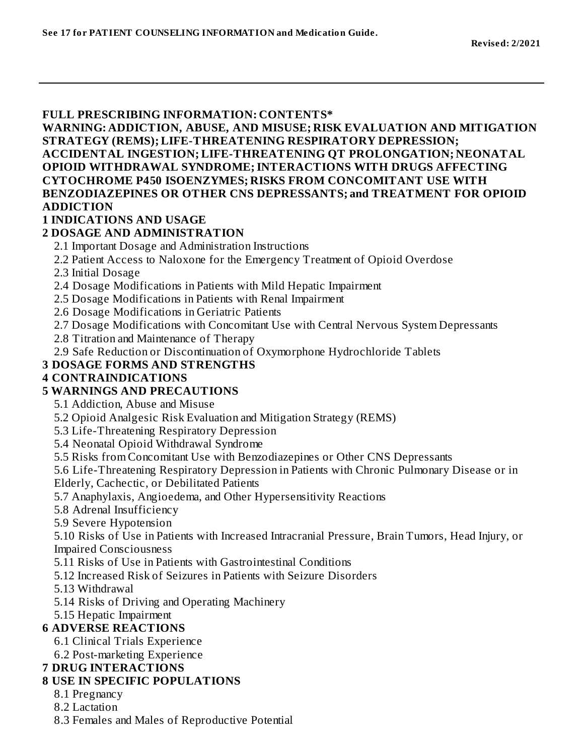#### **FULL PRESCRIBING INFORMATION: CONTENTS\***

#### **WARNING: ADDICTION, ABUSE, AND MISUSE; RISK EVALUATION AND MITIGATION STRATEGY (REMS); LIFE-THREATENING RESPIRATORY DEPRESSION; ACCIDENTAL INGESTION; LIFE-THREATENING QT PROLONGATION; NEONATAL OPIOID WITHDRAWAL SYNDROME;INTERACTIONS WITH DRUGS AFFECTING CYTOCHROME P450 ISOENZYMES; RISKS FROM CONCOMITANT USE WITH BENZODIAZEPINES OR OTHER CNS DEPRESSANTS; and TREATMENT FOR OPIOID ADDICTION**

#### **1 INDICATIONS AND USAGE**

#### **2 DOSAGE AND ADMINISTRATION**

- 2.1 Important Dosage and Administration Instructions
- 2.2 Patient Access to Naloxone for the Emergency Treatment of Opioid Overdose
- 2.3 Initial Dosage
- 2.4 Dosage Modifications in Patients with Mild Hepatic Impairment
- 2.5 Dosage Modifications in Patients with Renal Impairment
- 2.6 Dosage Modifications in Geriatric Patients
- 2.7 Dosage Modifications with Concomitant Use with Central Nervous System Depressants
- 2.8 Titration and Maintenance of Therapy
- 2.9 Safe Reduction or Discontinuation of Oxymorphone Hydrochloride Tablets

#### **3 DOSAGE FORMS AND STRENGTHS**

#### **4 CONTRAINDICATIONS**

#### **5 WARNINGS AND PRECAUTIONS**

- 5.1 Addiction, Abuse and Misuse
- 5.2 Opioid Analgesic Risk Evaluation and Mitigation Strategy (REMS)
- 5.3 Life-Threatening Respiratory Depression
- 5.4 Neonatal Opioid Withdrawal Syndrome
- 5.5 Risks from Concomitant Use with Benzodiazepines or Other CNS Depressants
- 5.6 Life-Threatening Respiratory Depression in Patients with Chronic Pulmonary Disease or in
- Elderly, Cachectic, or Debilitated Patients
- 5.7 Anaphylaxis, Angioedema, and Other Hypersensitivity Reactions
- 5.8 Adrenal Insufficiency
- 5.9 Severe Hypotension

5.10 Risks of Use in Patients with Increased Intracranial Pressure, Brain Tumors, Head Injury, or Impaired Consciousness

- 5.11 Risks of Use in Patients with Gastrointestinal Conditions
- 5.12 Increased Risk of Seizures in Patients with Seizure Disorders
- 5.13 Withdrawal
- 5.14 Risks of Driving and Operating Machinery
- 5.15 Hepatic Impairment

#### **6 ADVERSE REACTIONS**

- 6.1 Clinical Trials Experience
- 6.2 Post-marketing Experience

#### **7 DRUG INTERACTIONS**

#### **8 USE IN SPECIFIC POPULATIONS**

- 8.1 Pregnancy
- 8.2 Lactation
- 8.3 Females and Males of Reproductive Potential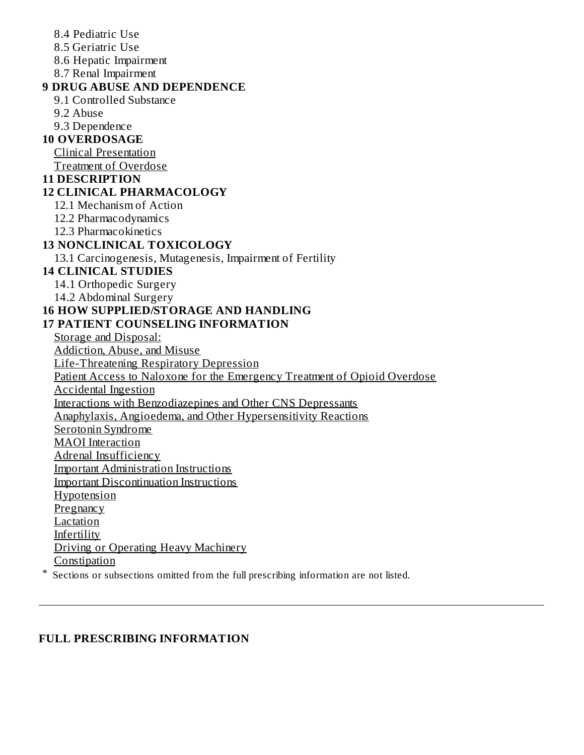- 8.4 Pediatric Use
- 8.5 Geriatric Use
- 8.6 Hepatic Impairment
- 8.7 Renal Impairment

# **9 DRUG ABUSE AND DEPENDENCE**

- 9.1 Controlled Substance
- 9.2 Abuse
- 9.3 Dependence
- **10 OVERDOSAGE**
	- Clinical Presentation
	- Treatment of Overdose

# **11 DESCRIPTION**

# **12 CLINICAL PHARMACOLOGY**

- 12.1 Mechanism of Action
- 12.2 Pharmacodynamics
- 12.3 Pharmacokinetics

# **13 NONCLINICAL TOXICOLOGY**

13.1 Carcinogenesis, Mutagenesis, Impairment of Fertility

# **14 CLINICAL STUDIES**

- 14.1 Orthopedic Surgery
- 14.2 Abdominal Surgery

# **16 HOW SUPPLIED/STORAGE AND HANDLING**

# **17 PATIENT COUNSELING INFORMATION**

Storage and Disposal:

Addiction, Abuse, and Misuse

Life-Threatening Respiratory Depression

Patient Access to Naloxone for the Emergency Treatment of Opioid Overdose

Accidental Ingestion

Interactions with Benzodiazepines and Other CNS Depressants

- Anaphylaxis, Angioedema, and Other Hypersensitivity Reactions
- Serotonin Syndrome
- MAOI Interaction
- Adrenal Insufficiency
- Important Administration Instructions
- Important Discontinuation Instructions
- Hypotension
- **Pregnancy**
- Lactation

Infertility

Driving or Operating Heavy Machinery

# Constipation

\* Sections or subsections omitted from the full prescribing information are not listed.

# **FULL PRESCRIBING INFORMATION**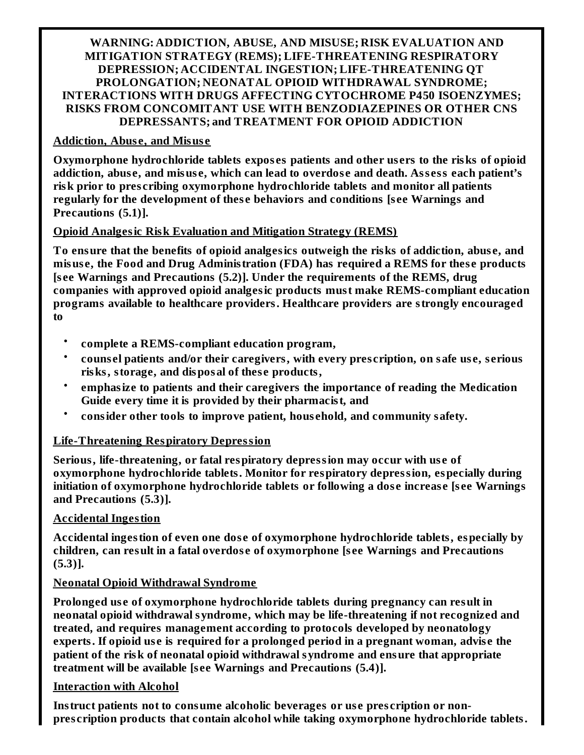#### **WARNING: ADDICTION, ABUSE, AND MISUSE; RISK EVALUATION AND MITIGATION STRATEGY (REMS); LIFE-THREATENING RESPIRATORY DEPRESSION; ACCIDENTAL INGESTION; LIFE-THREATENING QT PROLONGATION; NEONATAL OPIOID WITHDRAWAL SYNDROME; INTERACTIONS WITH DRUGS AFFECTING CYTOCHROME P450 ISOENZYMES; RISKS FROM CONCOMITANT USE WITH BENZODIAZEPINES OR OTHER CNS DEPRESSANTS; and TREATMENT FOR OPIOID ADDICTION**

#### **Addiction, Abus e, and Misus e**

**Oxymorphone hydrochloride tablets expos es patients and other us ers to the risks of opioid addiction, abus e, and misus e, which can lead to overdos e and death. Ass ess each patient's risk prior to pres cribing oxymorphone hydrochloride tablets and monitor all patients regularly for the development of thes e behaviors and conditions [s ee Warnings and Precautions (5.1)].**

#### **Opioid Analgesic Risk Evaluation and Mitigation Strategy (REMS)**

**To ensure that the benefits of opioid analgesics outweigh the risks of addiction, abus e, and misus e, the Food and Drug Administration (FDA) has required a REMS for thes e products [s ee Warnings and Precautions (5.2)]. Under the requirements of the REMS, drug companies with approved opioid analgesic products must make REMS-compliant education programs available to healthcare providers. Healthcare providers are strongly encouraged to**

- **complete a REMS-compliant education program,**
- **couns el patients and/or their caregivers, with every pres cription, on safe us e, s erious risks, storage, and disposal of thes e products,**
- **emphasize to patients and their caregivers the importance of reading the Medication Guide every time it is provided by their pharmacist, and**
- **consider other tools to improve patient, hous ehold, and community safety.**

#### **Life-Threatening Respiratory Depression**

**Serious, life-threatening, or fatal respiratory depression may occur with us e of oxymorphone hydrochloride tablets. Monitor for respiratory depression, especially during initiation of oxymorphone hydrochloride tablets or following a dos e increas e [s ee Warnings and Precautions (5.3)].**

#### **Accidental Ingestion**

**Accidental ingestion of even one dos e of oxymorphone hydrochloride tablets, especially by children, can result in a fatal overdos e of oxymorphone [s ee Warnings and Precautions (5.3)].**

#### **Neonatal Opioid Withdrawal Syndrome**

**Prolonged us e of oxymorphone hydrochloride tablets during pregnancy can result in neonatal opioid withdrawal syndrome, which may be life-threatening if not recognized and treated, and requires management according to protocols developed by neonatology experts. If opioid us e is required for a prolonged period in a pregnant woman, advis e the patient of the risk of neonatal opioid withdrawal syndrome and ensure that appropriate treatment will be available [s ee Warnings and Precautions (5.4)].**

#### **Interaction with Alcohol**

**Instruct patients not to consume alcoholic beverages or us e pres cription or nonpres cription products that contain alcohol while taking oxymorphone hydrochloride tablets.**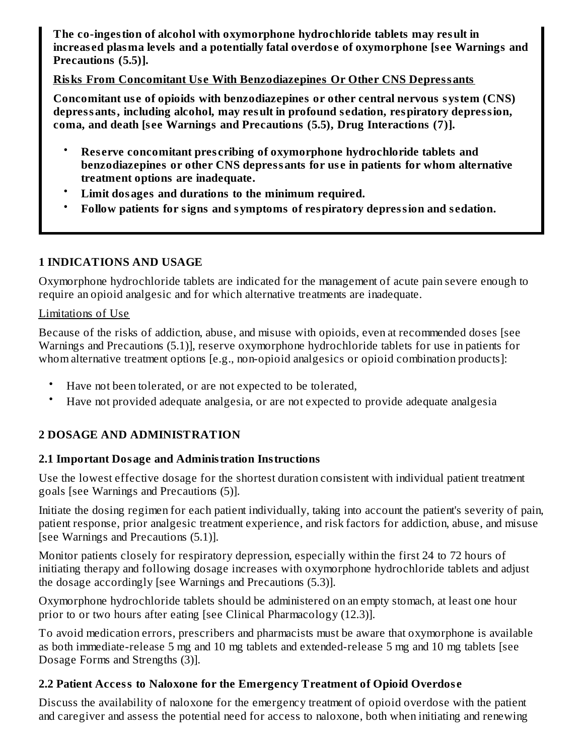**The co-ingestion of alcohol with oxymorphone hydrochloride tablets may result in increas ed plasma levels and a potentially fatal overdos e of oxymorphone [s ee Warnings and Precautions (5.5)].**

**Risks From Concomitant Us e With Benzodiazepines Or Other CNS Depressants**

**Concomitant us e of opioids with benzodiazepines or other central nervous system (CNS) depressants, including alcohol, may result in profound s edation, respiratory depression, coma, and death [s ee Warnings and Precautions (5.5), Drug Interactions (7)].**

- **Res erve concomitant pres cribing of oxymorphone hydrochloride tablets and benzodiazepines or other CNS depressants for us e in patients for whom alternative treatment options are inadequate.**
- **Limit dosages and durations to the minimum required.**
- **Follow patients for signs and symptoms of respiratory depression and s edation.**

# **1 INDICATIONS AND USAGE**

Oxymorphone hydrochloride tablets are indicated for the management of acute pain severe enough to require an opioid analgesic and for which alternative treatments are inadequate.

# Limitations of Use

Because of the risks of addiction, abuse, and misuse with opioids, even at recommended doses [see Warnings and Precautions (5.1)], reserve oxymorphone hydrochloride tablets for use in patients for whom alternative treatment options [e.g., non-opioid analgesics or opioid combination products]:

- Have not been tolerated, or are not expected to be tolerated,
- Have not provided adequate analgesia, or are not expected to provide adequate analgesia

# **2 DOSAGE AND ADMINISTRATION**

# **2.1 Important Dosage and Administration Instructions**

Use the lowest effective dosage for the shortest duration consistent with individual patient treatment goals [see Warnings and Precautions (5)].

Initiate the dosing regimen for each patient individually, taking into account the patient's severity of pain, patient response, prior analgesic treatment experience, and risk factors for addiction, abuse, and misuse [see Warnings and Precautions (5.1)].

Monitor patients closely for respiratory depression, especially within the first 24 to 72 hours of initiating therapy and following dosage increases with oxymorphone hydrochloride tablets and adjust the dosage accordingly [see Warnings and Precautions (5.3)].

Oxymorphone hydrochloride tablets should be administered on an empty stomach, at least one hour prior to or two hours after eating [see Clinical Pharmacology (12.3)].

To avoid medication errors, prescribers and pharmacists must be aware that oxymorphone is available as both immediate-release 5 mg and 10 mg tablets and extended-release 5 mg and 10 mg tablets [see Dosage Forms and Strengths (3)].

# **2.2 Patient Access to Naloxone for the Emergency Treatment of Opioid Overdos e**

Discuss the availability of naloxone for the emergency treatment of opioid overdose with the patient and caregiver and assess the potential need for access to naloxone, both when initiating and renewing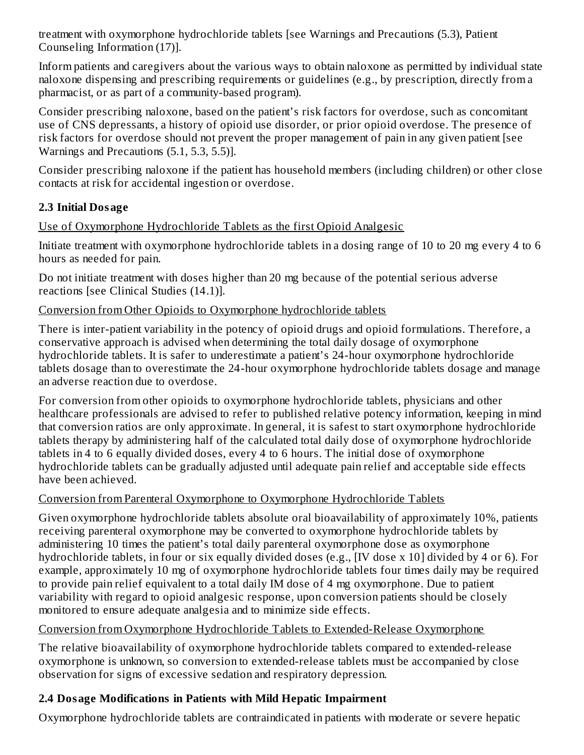treatment with oxymorphone hydrochloride tablets [see Warnings and Precautions (5.3), Patient Counseling Information (17)].

Inform patients and caregivers about the various ways to obtain naloxone as permitted by individual state naloxone dispensing and prescribing requirements or guidelines (e.g., by prescription, directly from a pharmacist, or as part of a community-based program).

Consider prescribing naloxone, based on the patient's risk factors for overdose, such as concomitant use of CNS depressants, a history of opioid use disorder, or prior opioid overdose. The presence of risk factors for overdose should not prevent the proper management of pain in any given patient [see Warnings and Precautions (5.1, 5.3, 5.5)].

Consider prescribing naloxone if the patient has household members (including children) or other close contacts at risk for accidental ingestion or overdose.

# **2.3 Initial Dosage**

# Use of Oxymorphone Hydrochloride Tablets as the first Opioid Analgesic

Initiate treatment with oxymorphone hydrochloride tablets in a dosing range of 10 to 20 mg every 4 to 6 hours as needed for pain.

Do not initiate treatment with doses higher than 20 mg because of the potential serious adverse reactions [see Clinical Studies (14.1)].

# Conversion from Other Opioids to Oxymorphone hydrochloride tablets

There is inter-patient variability in the potency of opioid drugs and opioid formulations. Therefore, a conservative approach is advised when determining the total daily dosage of oxymorphone hydrochloride tablets. It is safer to underestimate a patient's 24-hour oxymorphone hydrochloride tablets dosage than to overestimate the 24-hour oxymorphone hydrochloride tablets dosage and manage an adverse reaction due to overdose.

For conversion from other opioids to oxymorphone hydrochloride tablets, physicians and other healthcare professionals are advised to refer to published relative potency information, keeping in mind that conversion ratios are only approximate. In general, it is safest to start oxymorphone hydrochloride tablets therapy by administering half of the calculated total daily dose of oxymorphone hydrochloride tablets in 4 to 6 equally divided doses, every 4 to 6 hours. The initial dose of oxymorphone hydrochloride tablets can be gradually adjusted until adequate pain relief and acceptable side effects have been achieved.

# Conversion from Parenteral Oxymorphone to Oxymorphone Hydrochloride Tablets

Given oxymorphone hydrochloride tablets absolute oral bioavailability of approximately 10%, patients receiving parenteral oxymorphone may be converted to oxymorphone hydrochloride tablets by administering 10 times the patient's total daily parenteral oxymorphone dose as oxymorphone hydrochloride tablets, in four or six equally divided doses (e.g., [IV dose x 10] divided by 4 or 6). For example, approximately 10 mg of oxymorphone hydrochloride tablets four times daily may be required to provide pain relief equivalent to a total daily IM dose of 4 mg oxymorphone. Due to patient variability with regard to opioid analgesic response, upon conversion patients should be closely monitored to ensure adequate analgesia and to minimize side effects.

# Conversion from Oxymorphone Hydrochloride Tablets to Extended-Release Oxymorphone

The relative bioavailability of oxymorphone hydrochloride tablets compared to extended-release oxymorphone is unknown, so conversion to extended-release tablets must be accompanied by close observation for signs of excessive sedation and respiratory depression.

# **2.4 Dosage Modifications in Patients with Mild Hepatic Impairment**

Oxymorphone hydrochloride tablets are contraindicated in patients with moderate or severe hepatic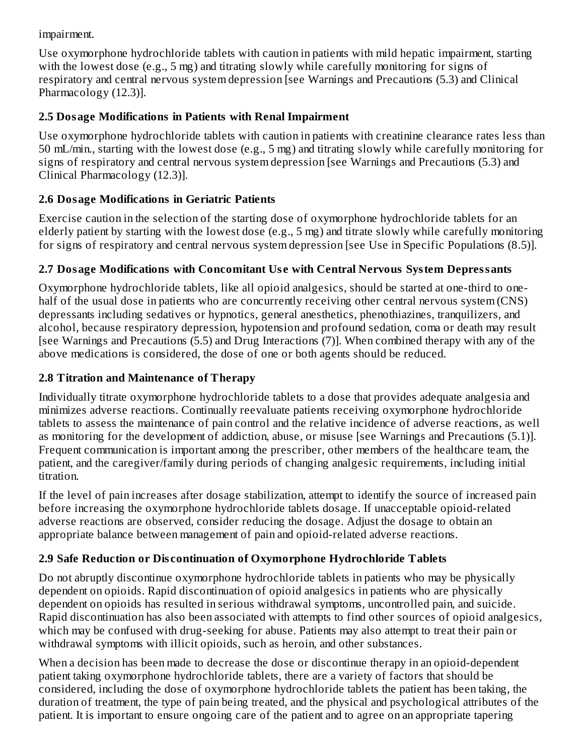impairment.

Use oxymorphone hydrochloride tablets with caution in patients with mild hepatic impairment, starting with the lowest dose (e.g., 5 mg) and titrating slowly while carefully monitoring for signs of respiratory and central nervous system depression [see Warnings and Precautions (5.3) and Clinical Pharmacology (12.3)].

# **2.5 Dosage Modifications in Patients with Renal Impairment**

Use oxymorphone hydrochloride tablets with caution in patients with creatinine clearance rates less than 50 mL/min., starting with the lowest dose (e.g., 5 mg) and titrating slowly while carefully monitoring for signs of respiratory and central nervous system depression [see Warnings and Precautions (5.3) and Clinical Pharmacology (12.3)].

# **2.6 Dosage Modifications in Geriatric Patients**

Exercise caution in the selection of the starting dose of oxymorphone hydrochloride tablets for an elderly patient by starting with the lowest dose (e.g., 5 mg) and titrate slowly while carefully monitoring for signs of respiratory and central nervous system depression [see Use in Specific Populations (8.5)].

# **2.7 Dosage Modifications with Concomitant Us e with Central Nervous System Depressants**

Oxymorphone hydrochloride tablets, like all opioid analgesics, should be started at one-third to onehalf of the usual dose in patients who are concurrently receiving other central nervous system (CNS) depressants including sedatives or hypnotics, general anesthetics, phenothiazines, tranquilizers, and alcohol, because respiratory depression, hypotension and profound sedation, coma or death may result [see Warnings and Precautions (5.5) and Drug Interactions (7)]. When combined therapy with any of the above medications is considered, the dose of one or both agents should be reduced.

# **2.8 Titration and Maintenance of Therapy**

Individually titrate oxymorphone hydrochloride tablets to a dose that provides adequate analgesia and minimizes adverse reactions. Continually reevaluate patients receiving oxymorphone hydrochloride tablets to assess the maintenance of pain control and the relative incidence of adverse reactions, as well as monitoring for the development of addiction, abuse, or misuse [see Warnings and Precautions (5.1)]. Frequent communication is important among the prescriber, other members of the healthcare team, the patient, and the caregiver/family during periods of changing analgesic requirements, including initial titration.

If the level of pain increases after dosage stabilization, attempt to identify the source of increased pain before increasing the oxymorphone hydrochloride tablets dosage. If unacceptable opioid-related adverse reactions are observed, consider reducing the dosage. Adjust the dosage to obtain an appropriate balance between management of pain and opioid-related adverse reactions.

# **2.9 Safe Reduction or Dis continuation of Oxymorphone Hydrochloride Tablets**

Do not abruptly discontinue oxymorphone hydrochloride tablets in patients who may be physically dependent on opioids. Rapid discontinuation of opioid analgesics in patients who are physically dependent on opioids has resulted in serious withdrawal symptoms, uncontrolled pain, and suicide. Rapid discontinuation has also been associated with attempts to find other sources of opioid analgesics, which may be confused with drug-seeking for abuse. Patients may also attempt to treat their pain or withdrawal symptoms with illicit opioids, such as heroin, and other substances.

When a decision has been made to decrease the dose or discontinue therapy in an opioid-dependent patient taking oxymorphone hydrochloride tablets, there are a variety of factors that should be considered, including the dose of oxymorphone hydrochloride tablets the patient has been taking, the duration of treatment, the type of pain being treated, and the physical and psychological attributes of the patient. It is important to ensure ongoing care of the patient and to agree on an appropriate tapering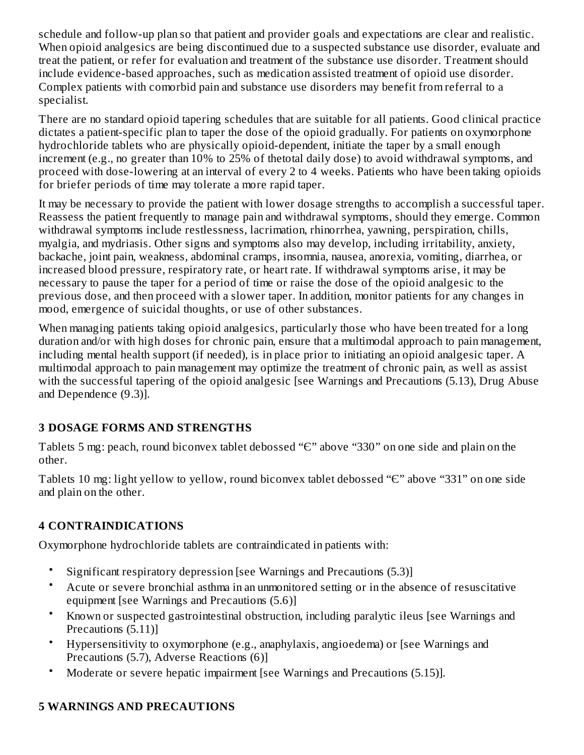schedule and follow-up plan so that patient and provider goals and expectations are clear and realistic. When opioid analgesics are being discontinued due to a suspected substance use disorder, evaluate and treat the patient, or refer for evaluation and treatment of the substance use disorder. Treatment should include evidence-based approaches, such as medication assisted treatment of opioid use disorder. Complex patients with comorbid pain and substance use disorders may benefit from referral to a specialist.

There are no standard opioid tapering schedules that are suitable for all patients. Good clinical practice dictates a patient-specific plan to taper the dose of the opioid gradually. For patients on oxymorphone hydrochloride tablets who are physically opioid-dependent, initiate the taper by a small enough increment (e.g., no greater than 10% to 25% of thetotal daily dose) to avoid withdrawal symptoms, and proceed with dose-lowering at an interval of every 2 to 4 weeks. Patients who have been taking opioids for briefer periods of time may tolerate a more rapid taper.

It may be necessary to provide the patient with lower dosage strengths to accomplish a successful taper. Reassess the patient frequently to manage pain and withdrawal symptoms, should they emerge. Common withdrawal symptoms include restlessness, lacrimation, rhinorrhea, yawning, perspiration, chills, myalgia, and mydriasis. Other signs and symptoms also may develop, including irritability, anxiety, backache, joint pain, weakness, abdominal cramps, insomnia, nausea, anorexia, vomiting, diarrhea, or increased blood pressure, respiratory rate, or heart rate. If withdrawal symptoms arise, it may be necessary to pause the taper for a period of time or raise the dose of the opioid analgesic to the previous dose, and then proceed with a slower taper. In addition, monitor patients for any changes in mood, emergence of suicidal thoughts, or use of other substances.

When managing patients taking opioid analgesics, particularly those who have been treated for a long duration and/or with high doses for chronic pain, ensure that a multimodal approach to pain management, including mental health support (if needed), is in place prior to initiating an opioid analgesic taper. A multimodal approach to pain management may optimize the treatment of chronic pain, as well as assist with the successful tapering of the opioid analgesic [see Warnings and Precautions (5.13), Drug Abuse and Dependence (9.3)].

# **3 DOSAGE FORMS AND STRENGTHS**

Tablets 5 mg: peach, round biconvex tablet debossed "Є" above "330" on one side and plain on the other.

Tablets 10 mg: light yellow to yellow, round biconvex tablet debossed "Є" above "331" on one side and plain on the other.

# **4 CONTRAINDICATIONS**

Oxymorphone hydrochloride tablets are contraindicated in patients with:

- Significant respiratory depression [see Warnings and Precautions (5.3)]
- Acute or severe bronchial asthma in an unmonitored setting or in the absence of resuscitative equipment [see Warnings and Precautions (5.6)]
- Known or suspected gastrointestinal obstruction, including paralytic ileus [see Warnings and Precautions (5.11)]
- Hypersensitivity to oxymorphone (e.g., anaphylaxis, angioedema) or [see Warnings and Precautions (5.7), Adverse Reactions (6)]
- Moderate or severe hepatic impairment [see Warnings and Precautions (5.15)].

# **5 WARNINGS AND PRECAUTIONS**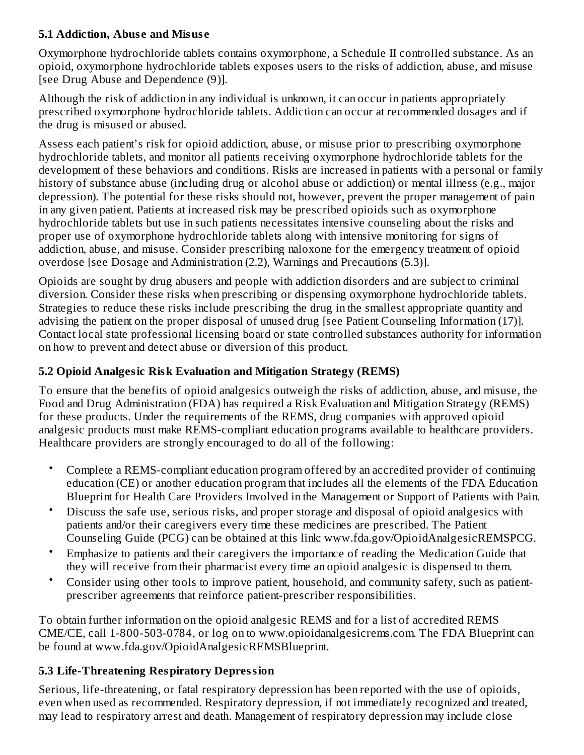#### **5.1 Addiction, Abus e and Misus e**

Oxymorphone hydrochloride tablets contains oxymorphone, a Schedule II controlled substance. As an opioid, oxymorphone hydrochloride tablets exposes users to the risks of addiction, abuse, and misuse [see Drug Abuse and Dependence (9)].

Although the risk of addiction in any individual is unknown, it can occur in patients appropriately prescribed oxymorphone hydrochloride tablets. Addiction can occur at recommended dosages and if the drug is misused or abused.

Assess each patient's risk for opioid addiction, abuse, or misuse prior to prescribing oxymorphone hydrochloride tablets, and monitor all patients receiving oxymorphone hydrochloride tablets for the development of these behaviors and conditions. Risks are increased in patients with a personal or family history of substance abuse (including drug or alcohol abuse or addiction) or mental illness (e.g., major depression). The potential for these risks should not, however, prevent the proper management of pain in any given patient. Patients at increased risk may be prescribed opioids such as oxymorphone hydrochloride tablets but use in such patients necessitates intensive counseling about the risks and proper use of oxymorphone hydrochloride tablets along with intensive monitoring for signs of addiction, abuse, and misuse. Consider prescribing naloxone for the emergency treatment of opioid overdose [see Dosage and Administration (2.2), Warnings and Precautions (5.3)].

Opioids are sought by drug abusers and people with addiction disorders and are subject to criminal diversion. Consider these risks when prescribing or dispensing oxymorphone hydrochloride tablets. Strategies to reduce these risks include prescribing the drug in the smallest appropriate quantity and advising the patient on the proper disposal of unused drug [see Patient Counseling Information (17)]. Contact local state professional licensing board or state controlled substances authority for information on how to prevent and detect abuse or diversion of this product.

# **5.2 Opioid Analgesic Risk Evaluation and Mitigation Strategy (REMS)**

To ensure that the benefits of opioid analgesics outweigh the risks of addiction, abuse, and misuse, the Food and Drug Administration (FDA) has required a Risk Evaluation and Mitigation Strategy (REMS) for these products. Under the requirements of the REMS, drug companies with approved opioid analgesic products must make REMS-compliant education programs available to healthcare providers. Healthcare providers are strongly encouraged to do all of the following:

- Complete a REMS-compliant education program offered by an accredited provider of continuing education (CE) or another education program that includes all the elements of the FDA Education Blueprint for Health Care Providers Involved in the Management or Support of Patients with Pain.
- Discuss the safe use, serious risks, and proper storage and disposal of opioid analgesics with patients and/or their caregivers every time these medicines are prescribed. The Patient Counseling Guide (PCG) can be obtained at this link: www.fda.gov/OpioidAnalgesicREMSPCG.
- Emphasize to patients and their caregivers the importance of reading the Medication Guide that they will receive from their pharmacist every time an opioid analgesic is dispensed to them.
- Consider using other tools to improve patient, household, and community safety, such as patientprescriber agreements that reinforce patient-prescriber responsibilities.

To obtain further information on the opioid analgesic REMS and for a list of accredited REMS CME/CE, call 1-800-503-0784, or log on to www.opioidanalgesicrems.com. The FDA Blueprint can be found at www.fda.gov/OpioidAnalgesicREMSBlueprint.

# **5.3 Life-Threatening Respiratory Depression**

Serious, life-threatening, or fatal respiratory depression has been reported with the use of opioids, even when used as recommended. Respiratory depression, if not immediately recognized and treated, may lead to respiratory arrest and death. Management of respiratory depression may include close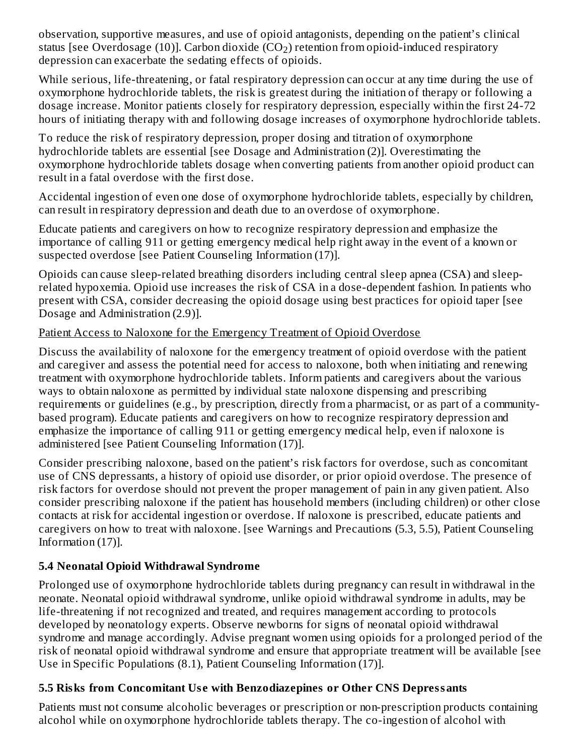observation, supportive measures, and use of opioid antagonists, depending on the patient's clinical status [see Overdosage (10)]. Carbon dioxide (CO $_2$ ) retention from opioid-induced respiratory depression can exacerbate the sedating effects of opioids.

While serious, life-threatening, or fatal respiratory depression can occur at any time during the use of oxymorphone hydrochloride tablets, the risk is greatest during the initiation of therapy or following a dosage increase. Monitor patients closely for respiratory depression, especially within the first 24-72 hours of initiating therapy with and following dosage increases of oxymorphone hydrochloride tablets.

To reduce the risk of respiratory depression, proper dosing and titration of oxymorphone hydrochloride tablets are essential [see Dosage and Administration (2)]. Overestimating the oxymorphone hydrochloride tablets dosage when converting patients from another opioid product can result in a fatal overdose with the first dose.

Accidental ingestion of even one dose of oxymorphone hydrochloride tablets, especially by children, can result in respiratory depression and death due to an overdose of oxymorphone.

Educate patients and caregivers on how to recognize respiratory depression and emphasize the importance of calling 911 or getting emergency medical help right away in the event of a known or suspected overdose [see Patient Counseling Information (17)].

Opioids can cause sleep-related breathing disorders including central sleep apnea (CSA) and sleeprelated hypoxemia. Opioid use increases the risk of CSA in a dose-dependent fashion. In patients who present with CSA, consider decreasing the opioid dosage using best practices for opioid taper [see Dosage and Administration (2.9)].

# Patient Access to Naloxone for the Emergency Treatment of Opioid Overdose

Discuss the availability of naloxone for the emergency treatment of opioid overdose with the patient and caregiver and assess the potential need for access to naloxone, both when initiating and renewing treatment with oxymorphone hydrochloride tablets. Inform patients and caregivers about the various ways to obtain naloxone as permitted by individual state naloxone dispensing and prescribing requirements or guidelines (e.g., by prescription, directly from a pharmacist, or as part of a communitybased program). Educate patients and caregivers on how to recognize respiratory depression and emphasize the importance of calling 911 or getting emergency medical help, even if naloxone is administered [see Patient Counseling Information (17)].

Consider prescribing naloxone, based on the patient's risk factors for overdose, such as concomitant use of CNS depressants, a history of opioid use disorder, or prior opioid overdose. The presence of risk factors for overdose should not prevent the proper management of pain in any given patient. Also consider prescribing naloxone if the patient has household members (including children) or other close contacts at risk for accidental ingestion or overdose. If naloxone is prescribed, educate patients and caregivers on how to treat with naloxone. [see Warnings and Precautions (5.3, 5.5), Patient Counseling Information (17)].

# **5.4 Neonatal Opioid Withdrawal Syndrome**

Prolonged use of oxymorphone hydrochloride tablets during pregnancy can result in withdrawal in the neonate. Neonatal opioid withdrawal syndrome, unlike opioid withdrawal syndrome in adults, may be life-threatening if not recognized and treated, and requires management according to protocols developed by neonatology experts. Observe newborns for signs of neonatal opioid withdrawal syndrome and manage accordingly. Advise pregnant women using opioids for a prolonged period of the risk of neonatal opioid withdrawal syndrome and ensure that appropriate treatment will be available [see Use in Specific Populations (8.1), Patient Counseling Information (17)].

# **5.5 Risks from Concomitant Us e with Benzodiazepines or Other CNS Depressants**

Patients must not consume alcoholic beverages or prescription or non-prescription products containing alcohol while on oxymorphone hydrochloride tablets therapy. The co-ingestion of alcohol with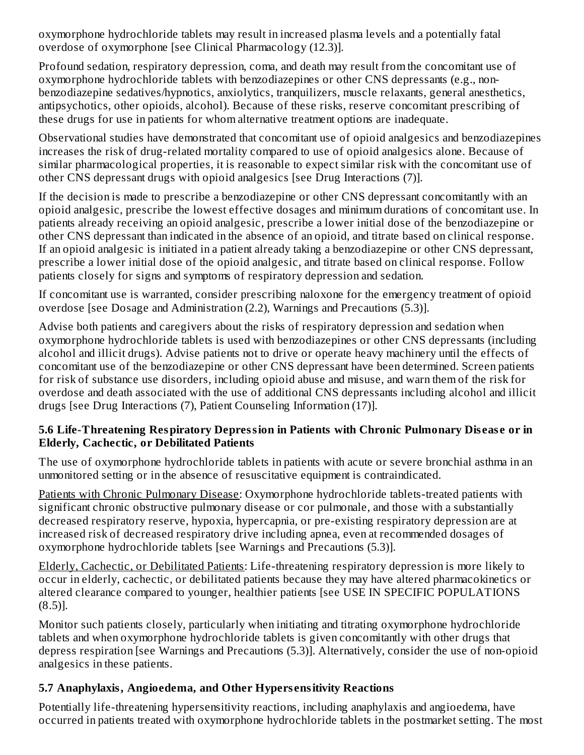oxymorphone hydrochloride tablets may result in increased plasma levels and a potentially fatal overdose of oxymorphone [see Clinical Pharmacology (12.3)].

Profound sedation, respiratory depression, coma, and death may result from the concomitant use of oxymorphone hydrochloride tablets with benzodiazepines or other CNS depressants (e.g., nonbenzodiazepine sedatives/hypnotics, anxiolytics, tranquilizers, muscle relaxants, general anesthetics, antipsychotics, other opioids, alcohol). Because of these risks, reserve concomitant prescribing of these drugs for use in patients for whom alternative treatment options are inadequate.

Observational studies have demonstrated that concomitant use of opioid analgesics and benzodiazepines increases the risk of drug-related mortality compared to use of opioid analgesics alone. Because of similar pharmacological properties, it is reasonable to expect similar risk with the concomitant use of other CNS depressant drugs with opioid analgesics [see Drug Interactions (7)].

If the decision is made to prescribe a benzodiazepine or other CNS depressant concomitantly with an opioid analgesic, prescribe the lowest effective dosages and minimum durations of concomitant use. In patients already receiving an opioid analgesic, prescribe a lower initial dose of the benzodiazepine or other CNS depressant than indicated in the absence of an opioid, and titrate based on clinical response. If an opioid analgesic is initiated in a patient already taking a benzodiazepine or other CNS depressant, prescribe a lower initial dose of the opioid analgesic, and titrate based on clinical response. Follow patients closely for signs and symptoms of respiratory depression and sedation.

If concomitant use is warranted, consider prescribing naloxone for the emergency treatment of opioid overdose [see Dosage and Administration (2.2), Warnings and Precautions (5.3)].

Advise both patients and caregivers about the risks of respiratory depression and sedation when oxymorphone hydrochloride tablets is used with benzodiazepines or other CNS depressants (including alcohol and illicit drugs). Advise patients not to drive or operate heavy machinery until the effects of concomitant use of the benzodiazepine or other CNS depressant have been determined. Screen patients for risk of substance use disorders, including opioid abuse and misuse, and warn them of the risk for overdose and death associated with the use of additional CNS depressants including alcohol and illicit drugs [see Drug Interactions (7), Patient Counseling Information (17)].

#### **5.6 Life-Threatening Respiratory Depression in Patients with Chronic Pulmonary Dis eas e or in Elderly, Cachectic, or Debilitated Patients**

The use of oxymorphone hydrochloride tablets in patients with acute or severe bronchial asthma in an unmonitored setting or in the absence of resuscitative equipment is contraindicated.

Patients with Chronic Pulmonary Disease: Oxymorphone hydrochloride tablets-treated patients with significant chronic obstructive pulmonary disease or cor pulmonale, and those with a substantially decreased respiratory reserve, hypoxia, hypercapnia, or pre-existing respiratory depression are at increased risk of decreased respiratory drive including apnea, even at recommended dosages of oxymorphone hydrochloride tablets [see Warnings and Precautions (5.3)].

Elderly, Cachectic, or Debilitated Patients: Life-threatening respiratory depression is more likely to occur in elderly, cachectic, or debilitated patients because they may have altered pharmacokinetics or altered clearance compared to younger, healthier patients [see USE IN SPECIFIC POPULATIONS (8.5)].

Monitor such patients closely, particularly when initiating and titrating oxymorphone hydrochloride tablets and when oxymorphone hydrochloride tablets is given concomitantly with other drugs that depress respiration [see Warnings and Precautions (5.3)]. Alternatively, consider the use of non-opioid analgesics in these patients.

# **5.7 Anaphylaxis, Angioedema, and Other Hypers ensitivity Reactions**

Potentially life-threatening hypersensitivity reactions, including anaphylaxis and angioedema, have occurred in patients treated with oxymorphone hydrochloride tablets in the postmarket setting. The most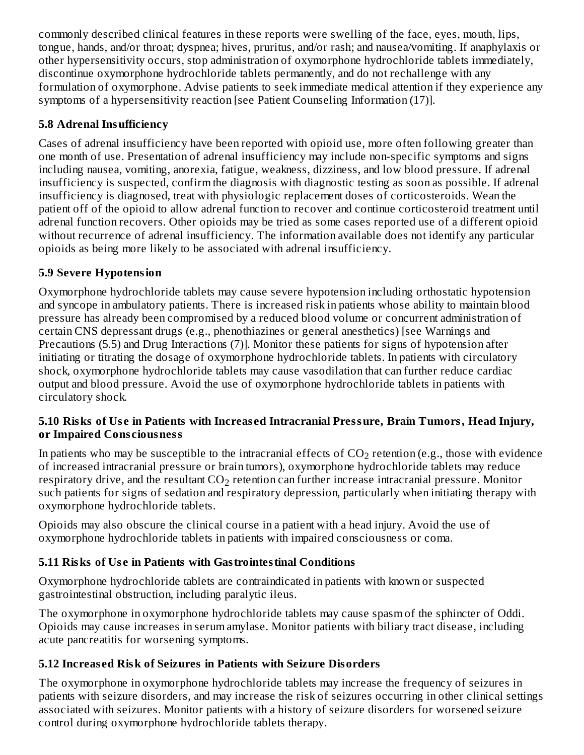commonly described clinical features in these reports were swelling of the face, eyes, mouth, lips, tongue, hands, and/or throat; dyspnea; hives, pruritus, and/or rash; and nausea/vomiting. If anaphylaxis or other hypersensitivity occurs, stop administration of oxymorphone hydrochloride tablets immediately, discontinue oxymorphone hydrochloride tablets permanently, and do not rechallenge with any formulation of oxymorphone. Advise patients to seek immediate medical attention if they experience any symptoms of a hypersensitivity reaction [see Patient Counseling Information (17)].

# **5.8 Adrenal Insufficiency**

Cases of adrenal insufficiency have been reported with opioid use, more often following greater than one month of use. Presentation of adrenal insufficiency may include non-specific symptoms and signs including nausea, vomiting, anorexia, fatigue, weakness, dizziness, and low blood pressure. If adrenal insufficiency is suspected, confirm the diagnosis with diagnostic testing as soon as possible. If adrenal insufficiency is diagnosed, treat with physiologic replacement doses of corticosteroids. Wean the patient off of the opioid to allow adrenal function to recover and continue corticosteroid treatment until adrenal function recovers. Other opioids may be tried as some cases reported use of a different opioid without recurrence of adrenal insufficiency. The information available does not identify any particular opioids as being more likely to be associated with adrenal insufficiency.

# **5.9 Severe Hypotension**

Oxymorphone hydrochloride tablets may cause severe hypotension including orthostatic hypotension and syncope in ambulatory patients. There is increased risk in patients whose ability to maintain blood pressure has already been compromised by a reduced blood volume or concurrent administration of certain CNS depressant drugs (e.g., phenothiazines or general anesthetics) [see Warnings and Precautions (5.5) and Drug Interactions (7)]. Monitor these patients for signs of hypotension after initiating or titrating the dosage of oxymorphone hydrochloride tablets. In patients with circulatory shock, oxymorphone hydrochloride tablets may cause vasodilation that can further reduce cardiac output and blood pressure. Avoid the use of oxymorphone hydrochloride tablets in patients with circulatory shock.

#### **5.10 Risks of Us e in Patients with Increas ed Intracranial Pressure, Brain Tumors, Head Injury, or Impaired Cons ciousness**

In patients who may be susceptible to the intracranial effects of  $\mathrm{CO}_2$  retention (e.g., those with evidence of increased intracranial pressure or brain tumors), oxymorphone hydrochloride tablets may reduce respiratory drive, and the resultant  $\mathrm{CO}_2$  retention can further increase intracranial pressure. Monitor such patients for signs of sedation and respiratory depression, particularly when initiating therapy with oxymorphone hydrochloride tablets.

Opioids may also obscure the clinical course in a patient with a head injury. Avoid the use of oxymorphone hydrochloride tablets in patients with impaired consciousness or coma.

# **5.11 Risks of Us e in Patients with Gastrointestinal Conditions**

Oxymorphone hydrochloride tablets are contraindicated in patients with known or suspected gastrointestinal obstruction, including paralytic ileus.

The oxymorphone in oxymorphone hydrochloride tablets may cause spasm of the sphincter of Oddi. Opioids may cause increases in serum amylase. Monitor patients with biliary tract disease, including acute pancreatitis for worsening symptoms.

# **5.12 Increas ed Risk of Seizures in Patients with Seizure Disorders**

The oxymorphone in oxymorphone hydrochloride tablets may increase the frequency of seizures in patients with seizure disorders, and may increase the risk of seizures occurring in other clinical settings associated with seizures. Monitor patients with a history of seizure disorders for worsened seizure control during oxymorphone hydrochloride tablets therapy.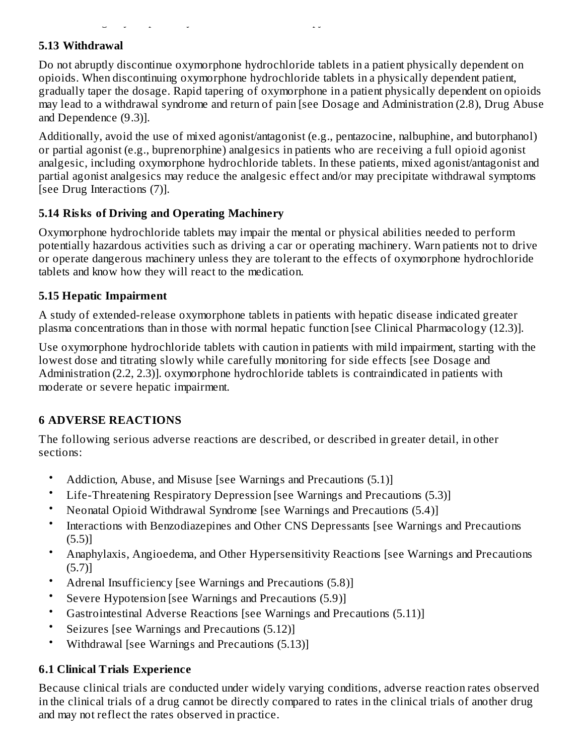#### **5.13 Withdrawal**

Do not abruptly discontinue oxymorphone hydrochloride tablets in a patient physically dependent on opioids. When discontinuing oxymorphone hydrochloride tablets in a physically dependent patient, gradually taper the dosage. Rapid tapering of oxymorphone in a patient physically dependent on opioids may lead to a withdrawal syndrome and return of pain [see Dosage and Administration (2.8), Drug Abuse and Dependence (9.3)].

Additionally, avoid the use of mixed agonist/antagonist (e.g., pentazocine, nalbuphine, and butorphanol) or partial agonist (e.g., buprenorphine) analgesics in patients who are receiving a full opioid agonist analgesic, including oxymorphone hydrochloride tablets. In these patients, mixed agonist/antagonist and partial agonist analgesics may reduce the analgesic effect and/or may precipitate withdrawal symptoms [see Drug Interactions (7)].

#### **5.14 Risks of Driving and Operating Machinery**

control during oxymorphone hydrochloride tablets therapy.

Oxymorphone hydrochloride tablets may impair the mental or physical abilities needed to perform potentially hazardous activities such as driving a car or operating machinery. Warn patients not to drive or operate dangerous machinery unless they are tolerant to the effects of oxymorphone hydrochloride tablets and know how they will react to the medication.

#### **5.15 Hepatic Impairment**

A study of extended-release oxymorphone tablets in patients with hepatic disease indicated greater plasma concentrations than in those with normal hepatic function [see Clinical Pharmacology (12.3)].

Use oxymorphone hydrochloride tablets with caution in patients with mild impairment, starting with the lowest dose and titrating slowly while carefully monitoring for side effects [see Dosage and Administration (2.2, 2.3)]. oxymorphone hydrochloride tablets is contraindicated in patients with moderate or severe hepatic impairment.

#### **6 ADVERSE REACTIONS**

The following serious adverse reactions are described, or described in greater detail, in other sections:

- Addiction, Abuse, and Misuse [see Warnings and Precautions (5.1)]
- Life-Threatening Respiratory Depression [see Warnings and Precautions (5.3)]
- Neonatal Opioid Withdrawal Syndrome [see Warnings and Precautions (5.4)]
- Interactions with Benzodiazepines and Other CNS Depressants [see Warnings and Precautions (5.5)]
- Anaphylaxis, Angioedema, and Other Hypersensitivity Reactions [see Warnings and Precautions (5.7)]
- Adrenal Insufficiency [see Warnings and Precautions (5.8)]
- Severe Hypotension [see Warnings and Precautions (5.9)]
- Gastrointestinal Adverse Reactions [see Warnings and Precautions (5.11)]
- Seizures [see Warnings and Precautions (5.12)]
- Withdrawal [see Warnings and Precautions (5.13)]

# **6.1 Clinical Trials Experience**

Because clinical trials are conducted under widely varying conditions, adverse reaction rates observed in the clinical trials of a drug cannot be directly compared to rates in the clinical trials of another drug and may not reflect the rates observed in practice.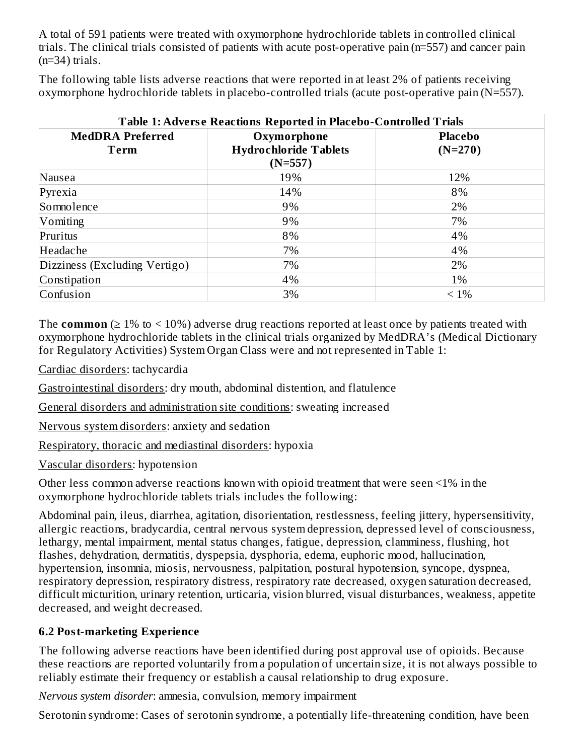A total of 591 patients were treated with oxymorphone hydrochloride tablets in controlled clinical trials. The clinical trials consisted of patients with acute post-operative pain (n=557) and cancer pain  $(n=34)$  trials.

The following table lists adverse reactions that were reported in at least 2% of patients receiving oxymorphone hydrochloride tablets in placebo-controlled trials (acute post-operative pain (N=557).

| <b>Table 1: Adverse Reactions Reported in Placebo-Controlled Trials</b> |                              |                |  |  |  |  |  |
|-------------------------------------------------------------------------|------------------------------|----------------|--|--|--|--|--|
| <b>MedDRA</b> Preferred                                                 | Oxymorphone                  | <b>Placebo</b> |  |  |  |  |  |
| Term                                                                    | <b>Hydrochloride Tablets</b> | $(N=270)$      |  |  |  |  |  |
|                                                                         | $(N=557)$                    |                |  |  |  |  |  |
| Nausea                                                                  | 19%                          | 12%            |  |  |  |  |  |
| Pyrexia                                                                 | 14%                          | 8%             |  |  |  |  |  |
| Somnolence                                                              | 9%                           | 2%             |  |  |  |  |  |
| Vomiting                                                                | 9%                           | 7%             |  |  |  |  |  |
| Pruritus                                                                | 8%                           | 4%             |  |  |  |  |  |
| Headache                                                                | 7%                           | 4%             |  |  |  |  |  |
| Dizziness (Excluding Vertigo)                                           | 7%                           | 2%             |  |  |  |  |  |
| Constipation                                                            | 4%                           | 1%             |  |  |  |  |  |
| Confusion                                                               | 3%                           | $< 1\%$        |  |  |  |  |  |

The **common** ( $\geq 1\%$  to  $\leq 10\%$ ) adverse drug reactions reported at least once by patients treated with oxymorphone hydrochloride tablets in the clinical trials organized by MedDRA's (Medical Dictionary for Regulatory Activities) System Organ Class were and not represented in Table 1:

Cardiac disorders: tachycardia

Gastrointestinal disorders: dry mouth, abdominal distention, and flatulence

General disorders and administration site conditions: sweating increased

Nervous system disorders: anxiety and sedation

Respiratory, thoracic and mediastinal disorders: hypoxia

Vascular disorders: hypotension

Other less common adverse reactions known with opioid treatment that were seen <1% in the oxymorphone hydrochloride tablets trials includes the following:

Abdominal pain, ileus, diarrhea, agitation, disorientation, restlessness, feeling jittery, hypersensitivity, allergic reactions, bradycardia, central nervous system depression, depressed level of consciousness, lethargy, mental impairment, mental status changes, fatigue, depression, clamminess, flushing, hot flashes, dehydration, dermatitis, dyspepsia, dysphoria, edema, euphoric mood, hallucination, hypertension, insomnia, miosis, nervousness, palpitation, postural hypotension, syncope, dyspnea, respiratory depression, respiratory distress, respiratory rate decreased, oxygen saturation decreased, difficult micturition, urinary retention, urticaria, vision blurred, visual disturbances, weakness, appetite decreased, and weight decreased.

# **6.2 Post-marketing Experience**

The following adverse reactions have been identified during post approval use of opioids. Because these reactions are reported voluntarily from a population of uncertain size, it is not always possible to reliably estimate their frequency or establish a causal relationship to drug exposure.

*Nervous system disorder*: amnesia, convulsion, memory impairment

Serotonin syndrome: Cases of serotonin syndrome, a potentially life-threatening condition, have been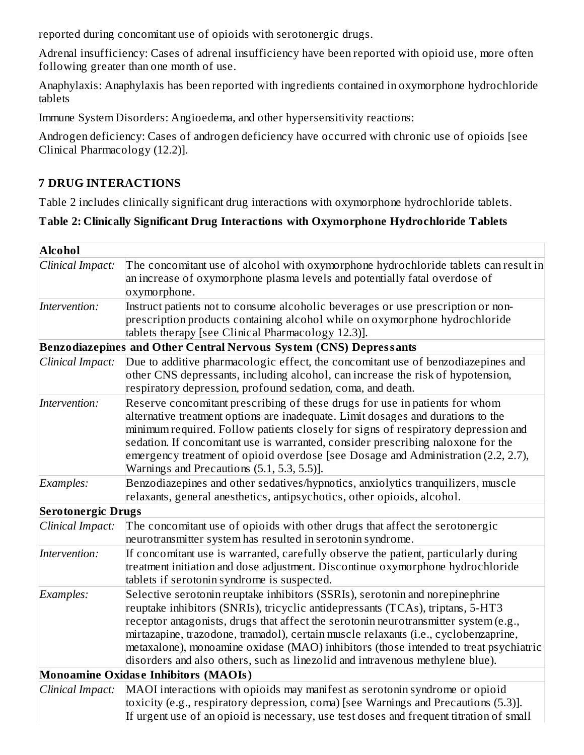reported during concomitant use of opioids with serotonergic drugs.

Adrenal insufficiency: Cases of adrenal insufficiency have been reported with opioid use, more often following greater than one month of use.

Anaphylaxis: Anaphylaxis has been reported with ingredients contained in oxymorphone hydrochloride tablets

Immune System Disorders: Angioedema, and other hypersensitivity reactions:

Androgen deficiency: Cases of androgen deficiency have occurred with chronic use of opioids [see Clinical Pharmacology (12.2)].

# **7 DRUG INTERACTIONS**

Table 2 includes clinically significant drug interactions with oxymorphone hydrochloride tablets.

#### **Table 2: Clinically Significant Drug Interactions with Oxymorphone Hydrochloride Tablets**

| <b>Alcohol</b>            |                                                                                                                                                                                                                                                                                                                                                                                                                                                                                                                         |  |  |  |  |
|---------------------------|-------------------------------------------------------------------------------------------------------------------------------------------------------------------------------------------------------------------------------------------------------------------------------------------------------------------------------------------------------------------------------------------------------------------------------------------------------------------------------------------------------------------------|--|--|--|--|
| Clinical Impact:          | The concomitant use of alcohol with oxymorphone hydrochloride tablets can result in<br>an increase of oxymorphone plasma levels and potentially fatal overdose of<br>oxymorphone.                                                                                                                                                                                                                                                                                                                                       |  |  |  |  |
| Intervention:             | Instruct patients not to consume alcoholic beverages or use prescription or non-<br>prescription products containing alcohol while on oxymorphone hydrochloride<br>tablets therapy [see Clinical Pharmacology 12.3)].                                                                                                                                                                                                                                                                                                   |  |  |  |  |
|                           | Benzodiazepines and Other Central Nervous System (CNS) Depressants                                                                                                                                                                                                                                                                                                                                                                                                                                                      |  |  |  |  |
| Clinical Impact:          | Due to additive pharmacologic effect, the concomitant use of benzodiazepines and<br>other CNS depressants, including alcohol, can increase the risk of hypotension,<br>respiratory depression, profound sedation, coma, and death.                                                                                                                                                                                                                                                                                      |  |  |  |  |
| Intervention:             | Reserve concomitant prescribing of these drugs for use in patients for whom<br>alternative treatment options are inadequate. Limit dosages and durations to the<br>minimum required. Follow patients closely for signs of respiratory depression and<br>sedation. If concomitant use is warranted, consider prescribing naloxone for the<br>emergency treatment of opioid overdose [see Dosage and Administration (2.2, 2.7),<br>Warnings and Precautions (5.1, 5.3, 5.5)].                                             |  |  |  |  |
| Examples:                 | Benzodiazepines and other sedatives/hypnotics, anxiolytics tranquilizers, muscle<br>relaxants, general anesthetics, antipsychotics, other opioids, alcohol.                                                                                                                                                                                                                                                                                                                                                             |  |  |  |  |
| <b>Serotonergic Drugs</b> |                                                                                                                                                                                                                                                                                                                                                                                                                                                                                                                         |  |  |  |  |
| Clinical Impact:          | The concomitant use of opioids with other drugs that affect the serotonergic<br>neurotransmitter system has resulted in serotonin syndrome.                                                                                                                                                                                                                                                                                                                                                                             |  |  |  |  |
| Intervention:             | If concomitant use is warranted, carefully observe the patient, particularly during<br>treatment initiation and dose adjustment. Discontinue oxymorphone hydrochloride<br>tablets if serotonin syndrome is suspected.                                                                                                                                                                                                                                                                                                   |  |  |  |  |
| Examples:                 | Selective serotonin reuptake inhibitors (SSRIs), serotonin and norepinephrine<br>reuptake inhibitors (SNRIs), tricyclic antidepressants (TCAs), triptans, 5-HT3<br>receptor antagonists, drugs that affect the serotonin neurotransmitter system (e.g.,<br>mirtazapine, trazodone, tramadol), certain muscle relaxants (i.e., cyclobenzaprine,<br>metaxalone), monoamine oxidase (MAO) inhibitors (those intended to treat psychiatric<br>disorders and also others, such as linezolid and intravenous methylene blue). |  |  |  |  |
|                           | <b>Monoamine Oxidase Inhibitors (MAOIs)</b>                                                                                                                                                                                                                                                                                                                                                                                                                                                                             |  |  |  |  |
| Clinical Impact:          | MAOI interactions with opioids may manifest as serotonin syndrome or opioid<br>toxicity (e.g., respiratory depression, coma) [see Warnings and Precautions $(5.3)$ ].<br>If urgent use of an opioid is necessary, use test doses and frequent titration of small                                                                                                                                                                                                                                                        |  |  |  |  |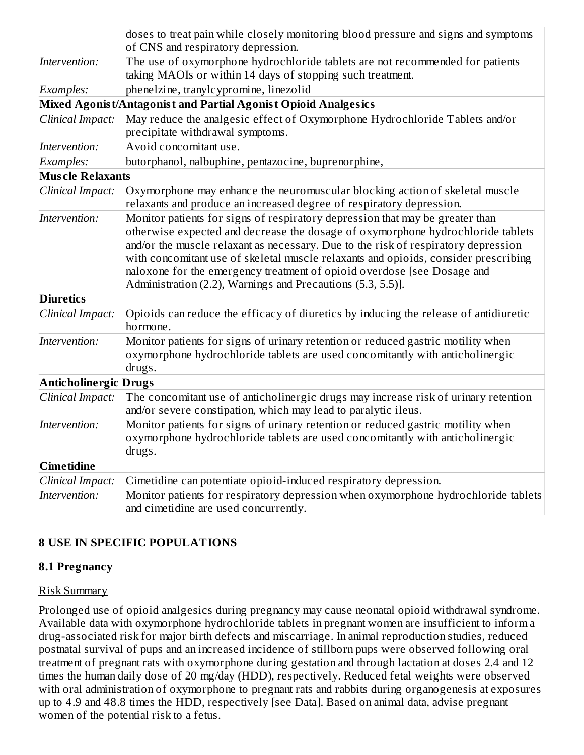|                              | doses to treat pain while closely monitoring blood pressure and signs and symptoms<br>of CNS and respiratory depression.                                                                                                                                                                                                                                                                                                                                                                |  |  |  |
|------------------------------|-----------------------------------------------------------------------------------------------------------------------------------------------------------------------------------------------------------------------------------------------------------------------------------------------------------------------------------------------------------------------------------------------------------------------------------------------------------------------------------------|--|--|--|
| Intervention:                | The use of oxymorphone hydrochloride tablets are not recommended for patients<br>taking MAOIs or within 14 days of stopping such treatment.                                                                                                                                                                                                                                                                                                                                             |  |  |  |
| Examples:                    | phenelzine, tranylcypromine, linezolid                                                                                                                                                                                                                                                                                                                                                                                                                                                  |  |  |  |
|                              | Mixed Agonist/Antagonist and Partial Agonist Opioid Analgesics                                                                                                                                                                                                                                                                                                                                                                                                                          |  |  |  |
| Clinical Impact:             | May reduce the analgesic effect of Oxymorphone Hydrochloride Tablets and/or<br>precipitate withdrawal symptoms.                                                                                                                                                                                                                                                                                                                                                                         |  |  |  |
| Intervention:                | Avoid concomitant use.                                                                                                                                                                                                                                                                                                                                                                                                                                                                  |  |  |  |
| Examples:                    | butorphanol, nalbuphine, pentazocine, buprenorphine,                                                                                                                                                                                                                                                                                                                                                                                                                                    |  |  |  |
| <b>Muscle Relaxants</b>      |                                                                                                                                                                                                                                                                                                                                                                                                                                                                                         |  |  |  |
| Clinical Impact:             | Oxymorphone may enhance the neuromuscular blocking action of skeletal muscle<br>relaxants and produce an increased degree of respiratory depression.                                                                                                                                                                                                                                                                                                                                    |  |  |  |
| Intervention:                | Monitor patients for signs of respiratory depression that may be greater than<br>otherwise expected and decrease the dosage of oxymorphone hydrochloride tablets<br>and/or the muscle relaxant as necessary. Due to the risk of respiratory depression<br>with concomitant use of skeletal muscle relaxants and opioids, consider prescribing<br>naloxone for the emergency treatment of opioid overdose [see Dosage and<br>Administration (2.2), Warnings and Precautions (5.3, 5.5)]. |  |  |  |
| <b>Diuretics</b>             |                                                                                                                                                                                                                                                                                                                                                                                                                                                                                         |  |  |  |
| Clinical Impact:             | Opioids can reduce the efficacy of diuretics by inducing the release of antidiuretic<br>hormone.                                                                                                                                                                                                                                                                                                                                                                                        |  |  |  |
| Intervention:                | Monitor patients for signs of urinary retention or reduced gastric motility when<br>oxymorphone hydrochloride tablets are used concomitantly with anticholinergic<br>drugs.                                                                                                                                                                                                                                                                                                             |  |  |  |
| <b>Anticholinergic Drugs</b> |                                                                                                                                                                                                                                                                                                                                                                                                                                                                                         |  |  |  |
| Clinical Impact:             | The concomitant use of anticholinergic drugs may increase risk of urinary retention<br>and/or severe constipation, which may lead to paralytic ileus.                                                                                                                                                                                                                                                                                                                                   |  |  |  |
| Intervention:                | Monitor patients for signs of urinary retention or reduced gastric motility when<br>oxymorphone hydrochloride tablets are used concomitantly with anticholinergic<br>drugs.                                                                                                                                                                                                                                                                                                             |  |  |  |
| <b>Cimetidine</b>            |                                                                                                                                                                                                                                                                                                                                                                                                                                                                                         |  |  |  |
| Clinical Impact:             | Cimetidine can potentiate opioid-induced respiratory depression.                                                                                                                                                                                                                                                                                                                                                                                                                        |  |  |  |
| Intervention:                | Monitor patients for respiratory depression when oxymorphone hydrochloride tablets<br>and cimetidine are used concurrently.                                                                                                                                                                                                                                                                                                                                                             |  |  |  |

#### **8 USE IN SPECIFIC POPULATIONS**

#### **8.1 Pregnancy**

#### Risk Summary

Prolonged use of opioid analgesics during pregnancy may cause neonatal opioid withdrawal syndrome. Available data with oxymorphone hydrochloride tablets in pregnant women are insufficient to inform a drug-associated risk for major birth defects and miscarriage. In animal reproduction studies, reduced postnatal survival of pups and an increased incidence of stillborn pups were observed following oral treatment of pregnant rats with oxymorphone during gestation and through lactation at doses 2.4 and 12 times the human daily dose of 20 mg/day (HDD), respectively. Reduced fetal weights were observed with oral administration of oxymorphone to pregnant rats and rabbits during organogenesis at exposures up to 4.9 and 48.8 times the HDD, respectively [see Data]. Based on animal data, advise pregnant women of the potential risk to a fetus.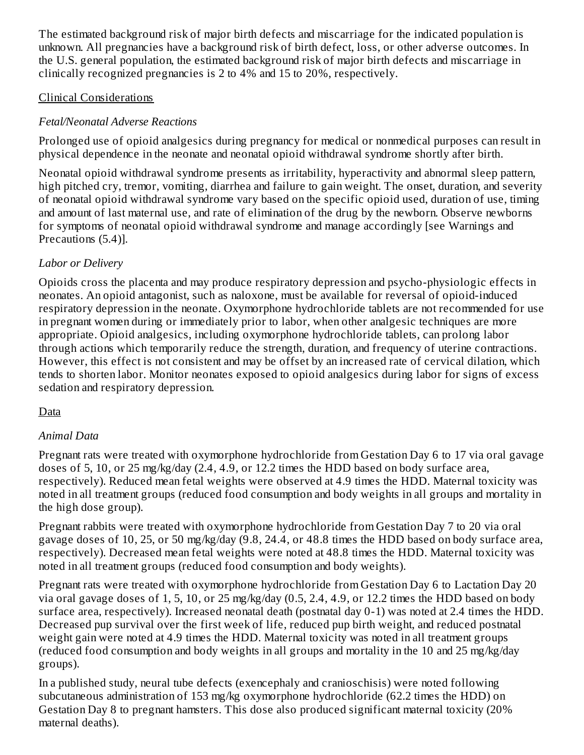The estimated background risk of major birth defects and miscarriage for the indicated population is unknown. All pregnancies have a background risk of birth defect, loss, or other adverse outcomes. In the U.S. general population, the estimated background risk of major birth defects and miscarriage in clinically recognized pregnancies is 2 to 4% and 15 to 20%, respectively.

#### Clinical Considerations

# *Fetal/Neonatal Adverse Reactions*

Prolonged use of opioid analgesics during pregnancy for medical or nonmedical purposes can result in physical dependence in the neonate and neonatal opioid withdrawal syndrome shortly after birth.

Neonatal opioid withdrawal syndrome presents as irritability, hyperactivity and abnormal sleep pattern, high pitched cry, tremor, vomiting, diarrhea and failure to gain weight. The onset, duration, and severity of neonatal opioid withdrawal syndrome vary based on the specific opioid used, duration of use, timing and amount of last maternal use, and rate of elimination of the drug by the newborn. Observe newborns for symptoms of neonatal opioid withdrawal syndrome and manage accordingly [see Warnings and Precautions (5.4)].

# *Labor or Delivery*

Opioids cross the placenta and may produce respiratory depression and psycho-physiologic effects in neonates. An opioid antagonist, such as naloxone, must be available for reversal of opioid-induced respiratory depression in the neonate. Oxymorphone hydrochloride tablets are not recommended for use in pregnant women during or immediately prior to labor, when other analgesic techniques are more appropriate. Opioid analgesics, including oxymorphone hydrochloride tablets, can prolong labor through actions which temporarily reduce the strength, duration, and frequency of uterine contractions. However, this effect is not consistent and may be offset by an increased rate of cervical dilation, which tends to shorten labor. Monitor neonates exposed to opioid analgesics during labor for signs of excess sedation and respiratory depression.

# Data

# *Animal Data*

Pregnant rats were treated with oxymorphone hydrochloride from Gestation Day 6 to 17 via oral gavage doses of 5, 10, or 25 mg/kg/day (2.4, 4.9, or 12.2 times the HDD based on body surface area, respectively). Reduced mean fetal weights were observed at 4.9 times the HDD. Maternal toxicity was noted in all treatment groups (reduced food consumption and body weights in all groups and mortality in the high dose group).

Pregnant rabbits were treated with oxymorphone hydrochloride from Gestation Day 7 to 20 via oral gavage doses of 10, 25, or 50 mg/kg/day (9.8, 24.4, or 48.8 times the HDD based on body surface area, respectively). Decreased mean fetal weights were noted at 48.8 times the HDD. Maternal toxicity was noted in all treatment groups (reduced food consumption and body weights).

Pregnant rats were treated with oxymorphone hydrochloride from Gestation Day 6 to Lactation Day 20 via oral gavage doses of 1, 5, 10, or 25 mg/kg/day (0.5, 2.4, 4.9, or 12.2 times the HDD based on body surface area, respectively). Increased neonatal death (postnatal day 0-1) was noted at 2.4 times the HDD. Decreased pup survival over the first week of life, reduced pup birth weight, and reduced postnatal weight gain were noted at 4.9 times the HDD. Maternal toxicity was noted in all treatment groups (reduced food consumption and body weights in all groups and mortality in the 10 and 25 mg/kg/day groups).

In a published study, neural tube defects (exencephaly and cranioschisis) were noted following subcutaneous administration of 153 mg/kg oxymorphone hydrochloride (62.2 times the HDD) on Gestation Day 8 to pregnant hamsters. This dose also produced significant maternal toxicity (20% maternal deaths).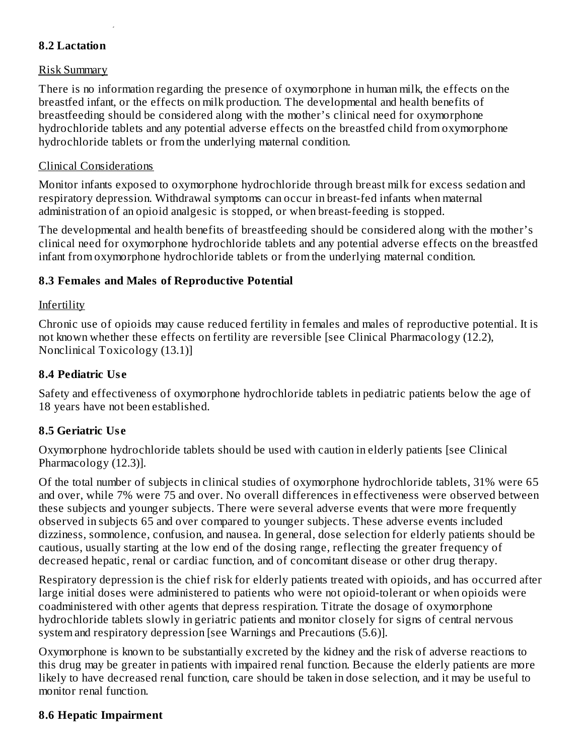#### **8.2 Lactation**

maternal deaths).

#### Risk Summary

There is no information regarding the presence of oxymorphone in human milk, the effects on the breastfed infant, or the effects on milk production. The developmental and health benefits of breastfeeding should be considered along with the mother's clinical need for oxymorphone hydrochloride tablets and any potential adverse effects on the breastfed child from oxymorphone hydrochloride tablets or from the underlying maternal condition.

#### Clinical Considerations

Monitor infants exposed to oxymorphone hydrochloride through breast milk for excess sedation and respiratory depression. Withdrawal symptoms can occur in breast-fed infants when maternal administration of an opioid analgesic is stopped, or when breast-feeding is stopped.

The developmental and health benefits of breastfeeding should be considered along with the mother's clinical need for oxymorphone hydrochloride tablets and any potential adverse effects on the breastfed infant from oxymorphone hydrochloride tablets or from the underlying maternal condition.

#### **8.3 Females and Males of Reproductive Potential**

#### **Infertility**

Chronic use of opioids may cause reduced fertility in females and males of reproductive potential. It is not known whether these effects on fertility are reversible [see Clinical Pharmacology (12.2), Nonclinical Toxicology (13.1)]

#### **8.4 Pediatric Us e**

Safety and effectiveness of oxymorphone hydrochloride tablets in pediatric patients below the age of 18 years have not been established.

#### **8.5 Geriatric Us e**

Oxymorphone hydrochloride tablets should be used with caution in elderly patients [see Clinical Pharmacology (12.3)].

Of the total number of subjects in clinical studies of oxymorphone hydrochloride tablets, 31% were 65 and over, while 7% were 75 and over. No overall differences in effectiveness were observed between these subjects and younger subjects. There were several adverse events that were more frequently observed in subjects 65 and over compared to younger subjects. These adverse events included dizziness, somnolence, confusion, and nausea. In general, dose selection for elderly patients should be cautious, usually starting at the low end of the dosing range, reflecting the greater frequency of decreased hepatic, renal or cardiac function, and of concomitant disease or other drug therapy.

Respiratory depression is the chief risk for elderly patients treated with opioids, and has occurred after large initial doses were administered to patients who were not opioid-tolerant or when opioids were coadministered with other agents that depress respiration. Titrate the dosage of oxymorphone hydrochloride tablets slowly in geriatric patients and monitor closely for signs of central nervous system and respiratory depression [see Warnings and Precautions (5.6)].

Oxymorphone is known to be substantially excreted by the kidney and the risk of adverse reactions to this drug may be greater in patients with impaired renal function. Because the elderly patients are more likely to have decreased renal function, care should be taken in dose selection, and it may be useful to monitor renal function.

#### **8.6 Hepatic Impairment**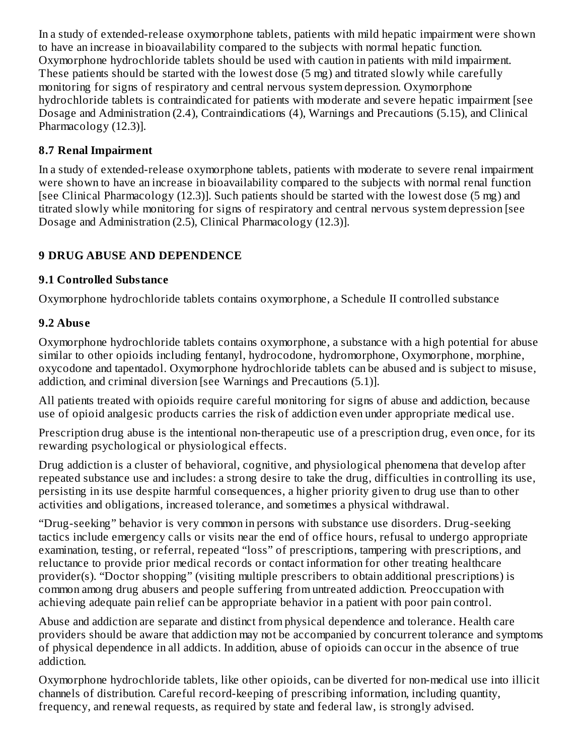In a study of extended-release oxymorphone tablets, patients with mild hepatic impairment were shown to have an increase in bioavailability compared to the subjects with normal hepatic function. Oxymorphone hydrochloride tablets should be used with caution in patients with mild impairment. These patients should be started with the lowest dose (5 mg) and titrated slowly while carefully monitoring for signs of respiratory and central nervous system depression. Oxymorphone hydrochloride tablets is contraindicated for patients with moderate and severe hepatic impairment [see Dosage and Administration (2.4), Contraindications (4), Warnings and Precautions (5.15), and Clinical Pharmacology (12.3)].

# **8.7 Renal Impairment**

In a study of extended-release oxymorphone tablets, patients with moderate to severe renal impairment were shown to have an increase in bioavailability compared to the subjects with normal renal function [see Clinical Pharmacology (12.3)]. Such patients should be started with the lowest dose (5 mg) and titrated slowly while monitoring for signs of respiratory and central nervous system depression [see Dosage and Administration (2.5), Clinical Pharmacology (12.3)].

# **9 DRUG ABUSE AND DEPENDENCE**

# **9.1 Controlled Substance**

Oxymorphone hydrochloride tablets contains oxymorphone, a Schedule II controlled substance

# **9.2 Abus e**

Oxymorphone hydrochloride tablets contains oxymorphone, a substance with a high potential for abuse similar to other opioids including fentanyl, hydrocodone, hydromorphone, Oxymorphone, morphine, oxycodone and tapentadol. Oxymorphone hydrochloride tablets can be abused and is subject to misuse, addiction, and criminal diversion [see Warnings and Precautions (5.1)].

All patients treated with opioids require careful monitoring for signs of abuse and addiction, because use of opioid analgesic products carries the risk of addiction even under appropriate medical use.

Prescription drug abuse is the intentional non-therapeutic use of a prescription drug, even once, for its rewarding psychological or physiological effects.

Drug addiction is a cluster of behavioral, cognitive, and physiological phenomena that develop after repeated substance use and includes: a strong desire to take the drug, difficulties in controlling its use, persisting in its use despite harmful consequences, a higher priority given to drug use than to other activities and obligations, increased tolerance, and sometimes a physical withdrawal.

"Drug-seeking" behavior is very common in persons with substance use disorders. Drug-seeking tactics include emergency calls or visits near the end of office hours, refusal to undergo appropriate examination, testing, or referral, repeated "loss" of prescriptions, tampering with prescriptions, and reluctance to provide prior medical records or contact information for other treating healthcare provider(s). "Doctor shopping" (visiting multiple prescribers to obtain additional prescriptions) is common among drug abusers and people suffering from untreated addiction. Preoccupation with achieving adequate pain relief can be appropriate behavior in a patient with poor pain control.

Abuse and addiction are separate and distinct from physical dependence and tolerance. Health care providers should be aware that addiction may not be accompanied by concurrent tolerance and symptoms of physical dependence in all addicts. In addition, abuse of opioids can occur in the absence of true addiction.

Oxymorphone hydrochloride tablets, like other opioids, can be diverted for non-medical use into illicit channels of distribution. Careful record-keeping of prescribing information, including quantity, frequency, and renewal requests, as required by state and federal law, is strongly advised.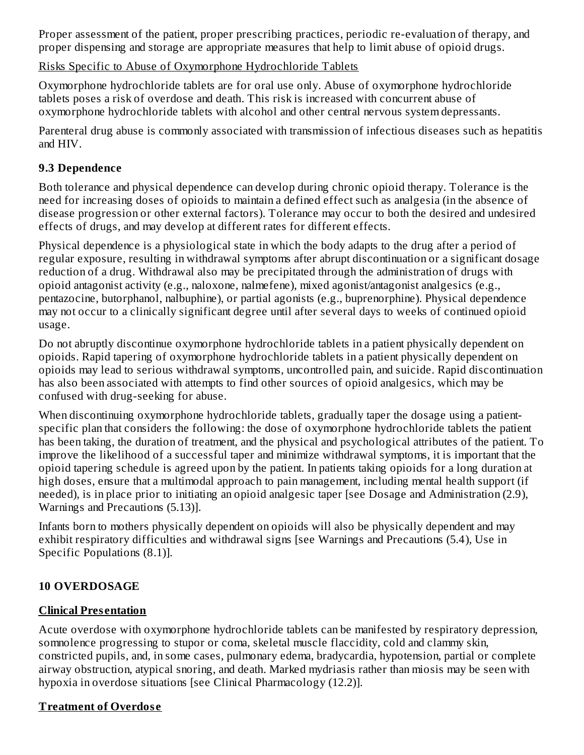Proper assessment of the patient, proper prescribing practices, periodic re-evaluation of therapy, and proper dispensing and storage are appropriate measures that help to limit abuse of opioid drugs.

Risks Specific to Abuse of Oxymorphone Hydrochloride Tablets

Oxymorphone hydrochloride tablets are for oral use only. Abuse of oxymorphone hydrochloride tablets poses a risk of overdose and death. This risk is increased with concurrent abuse of oxymorphone hydrochloride tablets with alcohol and other central nervous system depressants.

Parenteral drug abuse is commonly associated with transmission of infectious diseases such as hepatitis and HIV.

# **9.3 Dependence**

Both tolerance and physical dependence can develop during chronic opioid therapy. Tolerance is the need for increasing doses of opioids to maintain a defined effect such as analgesia (in the absence of disease progression or other external factors). Tolerance may occur to both the desired and undesired effects of drugs, and may develop at different rates for different effects.

Physical dependence is a physiological state in which the body adapts to the drug after a period of regular exposure, resulting in withdrawal symptoms after abrupt discontinuation or a significant dosage reduction of a drug. Withdrawal also may be precipitated through the administration of drugs with opioid antagonist activity (e.g., naloxone, nalmefene), mixed agonist/antagonist analgesics (e.g., pentazocine, butorphanol, nalbuphine), or partial agonists (e.g., buprenorphine). Physical dependence may not occur to a clinically significant degree until after several days to weeks of continued opioid usage.

Do not abruptly discontinue oxymorphone hydrochloride tablets in a patient physically dependent on opioids. Rapid tapering of oxymorphone hydrochloride tablets in a patient physically dependent on opioids may lead to serious withdrawal symptoms, uncontrolled pain, and suicide. Rapid discontinuation has also been associated with attempts to find other sources of opioid analgesics, which may be confused with drug-seeking for abuse.

When discontinuing oxymorphone hydrochloride tablets, gradually taper the dosage using a patientspecific plan that considers the following: the dose of oxymorphone hydrochloride tablets the patient has been taking, the duration of treatment, and the physical and psychological attributes of the patient. To improve the likelihood of a successful taper and minimize withdrawal symptoms, it is important that the opioid tapering schedule is agreed upon by the patient. In patients taking opioids for a long duration at high doses, ensure that a multimodal approach to pain management, including mental health support (if needed), is in place prior to initiating an opioid analgesic taper [see Dosage and Administration (2.9), Warnings and Precautions (5.13)].

Infants born to mothers physically dependent on opioids will also be physically dependent and may exhibit respiratory difficulties and withdrawal signs [see Warnings and Precautions (5.4), Use in Specific Populations (8.1)].

# **10 OVERDOSAGE**

# **Clinical Pres entation**

Acute overdose with oxymorphone hydrochloride tablets can be manifested by respiratory depression, somnolence progressing to stupor or coma, skeletal muscle flaccidity, cold and clammy skin, constricted pupils, and, in some cases, pulmonary edema, bradycardia, hypotension, partial or complete airway obstruction, atypical snoring, and death. Marked mydriasis rather than miosis may be seen with hypoxia in overdose situations [see Clinical Pharmacology (12.2)].

# **Treatment of Overdos e**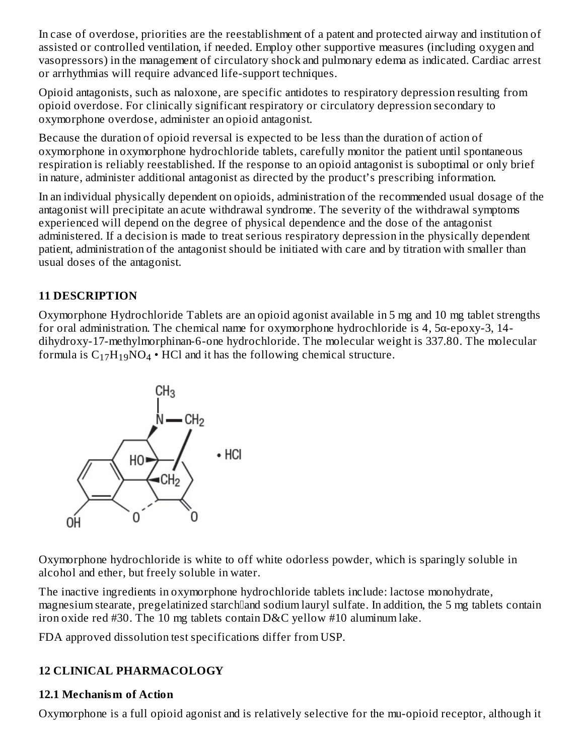In case of overdose, priorities are the reestablishment of a patent and protected airway and institution of assisted or controlled ventilation, if needed. Employ other supportive measures (including oxygen and vasopressors) in the management of circulatory shock and pulmonary edema as indicated. Cardiac arrest or arrhythmias will require advanced life-support techniques.

Opioid antagonists, such as naloxone, are specific antidotes to respiratory depression resulting from opioid overdose. For clinically significant respiratory or circulatory depression secondary to oxymorphone overdose, administer an opioid antagonist.

Because the duration of opioid reversal is expected to be less than the duration of action of oxymorphone in oxymorphone hydrochloride tablets, carefully monitor the patient until spontaneous respiration is reliably reestablished. If the response to an opioid antagonist is suboptimal or only brief in nature, administer additional antagonist as directed by the product's prescribing information.

In an individual physically dependent on opioids, administration of the recommended usual dosage of the antagonist will precipitate an acute withdrawal syndrome. The severity of the withdrawal symptoms experienced will depend on the degree of physical dependence and the dose of the antagonist administered. If a decision is made to treat serious respiratory depression in the physically dependent patient, administration of the antagonist should be initiated with care and by titration with smaller than usual doses of the antagonist.

# **11 DESCRIPTION**

Oxymorphone Hydrochloride Tablets are an opioid agonist available in 5 mg and 10 mg tablet strengths for oral administration. The chemical name for oxymorphone hydrochloride is 4, 5α-epoxy-3, 14 dihydroxy-17-methylmorphinan-6-one hydrochloride. The molecular weight is 337.80. The molecular formula is  $C_{17}H_{19}NO_4 \cdot HCl$  and it has the following chemical structure.



Oxymorphone hydrochloride is white to off white odorless powder, which is sparingly soluble in alcohol and ether, but freely soluble in water.

The inactive ingredients in oxymorphone hydrochloride tablets include: lactose monohydrate, magnesium stearate, pregelatinized starchland sodium lauryl sulfate. In addition, the 5 mg tablets contain iron oxide red #30. The 10 mg tablets contain D&C yellow #10 aluminum lake.

FDA approved dissolution test specifications differ from USP.

# **12 CLINICAL PHARMACOLOGY**

# **12.1 Mechanism of Action**

Oxymorphone is a full opioid agonist and is relatively selective for the mu-opioid receptor, although it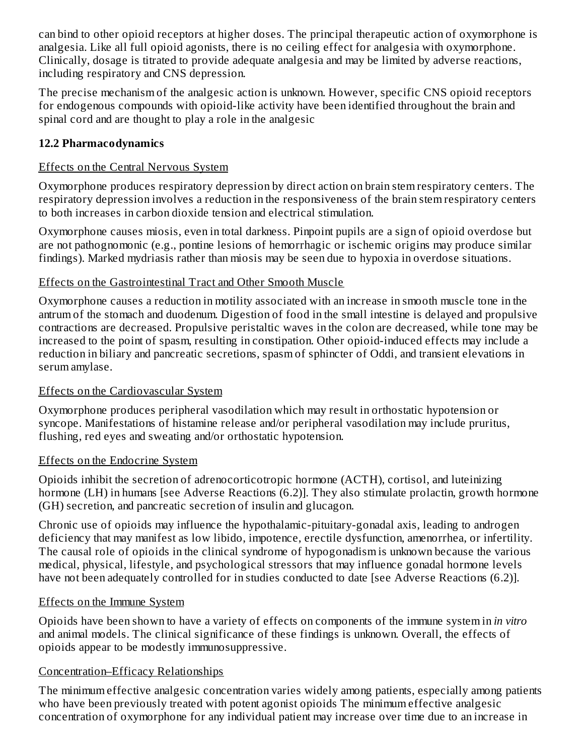can bind to other opioid receptors at higher doses. The principal therapeutic action of oxymorphone is analgesia. Like all full opioid agonists, there is no ceiling effect for analgesia with oxymorphone. Clinically, dosage is titrated to provide adequate analgesia and may be limited by adverse reactions, including respiratory and CNS depression.

The precise mechanism of the analgesic action is unknown. However, specific CNS opioid receptors for endogenous compounds with opioid-like activity have been identified throughout the brain and spinal cord and are thought to play a role in the analgesic

# **12.2 Pharmacodynamics**

#### Effects on the Central Nervous System

Oxymorphone produces respiratory depression by direct action on brain stem respiratory centers. The respiratory depression involves a reduction in the responsiveness of the brain stem respiratory centers to both increases in carbon dioxide tension and electrical stimulation.

Oxymorphone causes miosis, even in total darkness. Pinpoint pupils are a sign of opioid overdose but are not pathognomonic (e.g., pontine lesions of hemorrhagic or ischemic origins may produce similar findings). Marked mydriasis rather than miosis may be seen due to hypoxia in overdose situations.

#### Effects on the Gastrointestinal Tract and Other Smooth Muscle

Oxymorphone causes a reduction in motility associated with an increase in smooth muscle tone in the antrum of the stomach and duodenum. Digestion of food in the small intestine is delayed and propulsive contractions are decreased. Propulsive peristaltic waves in the colon are decreased, while tone may be increased to the point of spasm, resulting in constipation. Other opioid-induced effects may include a reduction in biliary and pancreatic secretions, spasm of sphincter of Oddi, and transient elevations in serum amylase.

# Effects on the Cardiovascular System

Oxymorphone produces peripheral vasodilation which may result in orthostatic hypotension or syncope. Manifestations of histamine release and/or peripheral vasodilation may include pruritus, flushing, red eyes and sweating and/or orthostatic hypotension.

# Effects on the Endocrine System

Opioids inhibit the secretion of adrenocorticotropic hormone (ACTH), cortisol, and luteinizing hormone (LH) in humans [see Adverse Reactions (6.2)]. They also stimulate prolactin, growth hormone (GH) secretion, and pancreatic secretion of insulin and glucagon.

Chronic use of opioids may influence the hypothalamic-pituitary-gonadal axis, leading to androgen deficiency that may manifest as low libido, impotence, erectile dysfunction, amenorrhea, or infertility. The causal role of opioids in the clinical syndrome of hypogonadism is unknown because the various medical, physical, lifestyle, and psychological stressors that may influence gonadal hormone levels have not been adequately controlled for in studies conducted to date [see Adverse Reactions (6.2)].

# Effects on the Immune System

Opioids have been shown to have a variety of effects on components of the immune system in *in vitro* and animal models. The clinical significance of these findings is unknown. Overall, the effects of opioids appear to be modestly immunosuppressive.

#### Concentration–Efficacy Relationships

The minimum effective analgesic concentration varies widely among patients, especially among patients who have been previously treated with potent agonist opioids The minimum effective analgesic concentration of oxymorphone for any individual patient may increase over time due to an increase in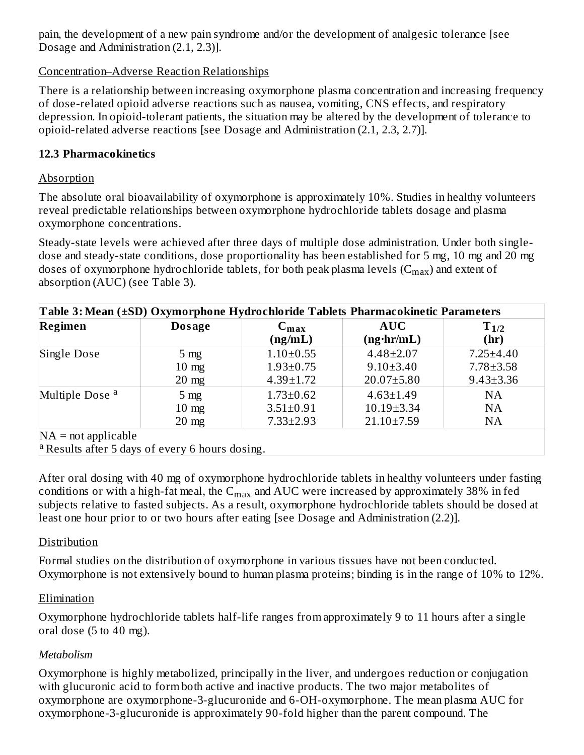pain, the development of a new pain syndrome and/or the development of analgesic tolerance [see Dosage and Administration (2.1, 2.3)].

#### Concentration–Adverse Reaction Relationships

There is a relationship between increasing oxymorphone plasma concentration and increasing frequency of dose-related opioid adverse reactions such as nausea, vomiting, CNS effects, and respiratory depression. In opioid-tolerant patients, the situation may be altered by the development of tolerance to opioid-related adverse reactions [see Dosage and Administration (2.1, 2.3, 2.7)].

#### **12.3 Pharmacokinetics**

#### Absorption

The absolute oral bioavailability of oxymorphone is approximately 10%. Studies in healthy volunteers reveal predictable relationships between oxymorphone hydrochloride tablets dosage and plasma oxymorphone concentrations.

Steady-state levels were achieved after three days of multiple dose administration. Under both singledose and steady-state conditions, dose proportionality has been established for 5 mg, 10 mg and 20 mg doses of oxymorphone hydrochloride tablets, for both peak plasma levels  $(\mathsf{C}_{\max})$  and extent of absorption (AUC) (see Table 3).

| Table 3: Mean (±SD) Oxymorphone Hydrochloride Tablets Pharmacokinetic Parameters |                 |                             |                                 |                   |  |  |
|----------------------------------------------------------------------------------|-----------------|-----------------------------|---------------------------------|-------------------|--|--|
| Regimen                                                                          | Dosage          | $C_{\text{max}}$<br>(ng/mL) | <b>AUC</b><br>$(ng\cdot hr/mL)$ | $T_{1/2}$<br>(hr) |  |  |
| <b>Single Dose</b>                                                               | $5 \text{ mg}$  | $1.10\pm0.55$               | $4.48 \pm 2.07$                 | $7.25 \pm 4.40$   |  |  |
|                                                                                  | $10 \text{ mg}$ | $1.93 \pm 0.75$             | $9.10 \pm 3.40$                 | $7.78 \pm 3.58$   |  |  |
|                                                                                  | $20 \text{ mg}$ | $4.39 \pm 1.72$             | 20.07±5.80                      | $9.43 \pm 3.36$   |  |  |
| Multiple Dose <sup>a</sup>                                                       | 5 <sub>mg</sub> | $1.73 \pm 0.62$             | $4.63 \pm 1.49$                 | <b>NA</b>         |  |  |
|                                                                                  | $10 \text{ mg}$ | $3.51 \pm 0.91$             | $10.19 \pm 3.34$                | <b>NA</b>         |  |  |
|                                                                                  | $20 \text{ mg}$ | $7.33 \pm 2.93$             | $21.10 \pm 7.59$                | <b>NA</b>         |  |  |
| $NA = not applicable$                                                            |                 |                             |                                 |                   |  |  |
| <sup>a</sup> Results after 5 days of every 6 hours dosing.                       |                 |                             |                                 |                   |  |  |

After oral dosing with 40 mg of oxymorphone hydrochloride tablets in healthy volunteers under fasting conditions or with a high-fat meal, the  $\rm C_{max}$  and  $\rm AUC$  were increased by approximately 38% in fed subjects relative to fasted subjects. As a result, oxymorphone hydrochloride tablets should be dosed at least one hour prior to or two hours after eating [see Dosage and Administration (2.2)].

# Distribution

Formal studies on the distribution of oxymorphone in various tissues have not been conducted. Oxymorphone is not extensively bound to human plasma proteins; binding is in the range of 10% to 12%.

#### Elimination

Oxymorphone hydrochloride tablets half-life ranges from approximately 9 to 11 hours after a single oral dose (5 to 40 mg).

# *Metabolism*

Oxymorphone is highly metabolized, principally in the liver, and undergoes reduction or conjugation with glucuronic acid to form both active and inactive products. The two major metabolites of oxymorphone are oxymorphone-3-glucuronide and 6-OH-oxymorphone. The mean plasma AUC for oxymorphone-3-glucuronide is approximately 90-fold higher than the parent compound. The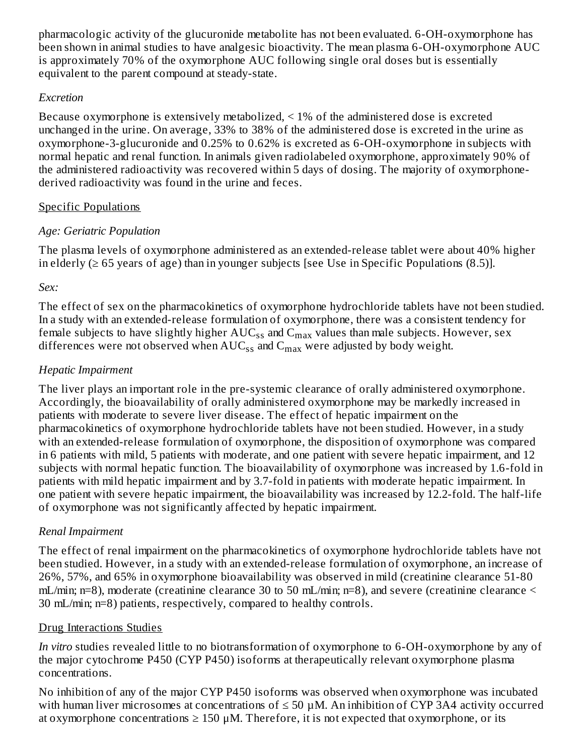pharmacologic activity of the glucuronide metabolite has not been evaluated. 6-OH-oxymorphone has been shown in animal studies to have analgesic bioactivity. The mean plasma 6-OH-oxymorphone AUC is approximately 70% of the oxymorphone AUC following single oral doses but is essentially equivalent to the parent compound at steady-state.

#### *Excretion*

Because oxymorphone is extensively metabolized, < 1% of the administered dose is excreted unchanged in the urine. On average, 33% to 38% of the administered dose is excreted in the urine as oxymorphone-3-glucuronide and 0.25% to 0.62% is excreted as 6-OH-oxymorphone in subjects with normal hepatic and renal function. In animals given radiolabeled oxymorphone, approximately 90% of the administered radioactivity was recovered within 5 days of dosing. The majority of oxymorphonederived radioactivity was found in the urine and feces.

# Specific Populations

# *Age: Geriatric Population*

The plasma levels of oxymorphone administered as an extended-release tablet were about 40% higher in elderly ( $\geq 65$  years of age) than in younger subjects [see Use in Specific Populations (8.5)].

# *Sex:*

The effect of sex on the pharmacokinetics of oxymorphone hydrochloride tablets have not been studied. In a study with an extended-release formulation of oxymorphone, there was a consistent tendency for female subjects to have slightly higher  $\mathsf{AUC}_{\mathsf{ss}}$  and  $\mathsf{C}_{\mathsf{max}}$  values than male subjects. However, sex differences were not observed when  $\mathrm{AUC_{ss}}$  and  $\mathrm{C_{max}}$  were adjusted by body weight.

# *Hepatic Impairment*

The liver plays an important role in the pre-systemic clearance of orally administered oxymorphone. Accordingly, the bioavailability of orally administered oxymorphone may be markedly increased in patients with moderate to severe liver disease. The effect of hepatic impairment on the pharmacokinetics of oxymorphone hydrochloride tablets have not been studied. However, in a study with an extended-release formulation of oxymorphone, the disposition of oxymorphone was compared in 6 patients with mild, 5 patients with moderate, and one patient with severe hepatic impairment, and 12 subjects with normal hepatic function. The bioavailability of oxymorphone was increased by 1.6-fold in patients with mild hepatic impairment and by 3.7-fold in patients with moderate hepatic impairment. In one patient with severe hepatic impairment, the bioavailability was increased by 12.2-fold. The half-life of oxymorphone was not significantly affected by hepatic impairment.

# *Renal Impairment*

The effect of renal impairment on the pharmacokinetics of oxymorphone hydrochloride tablets have not been studied. However, in a study with an extended-release formulation of oxymorphone, an increase of 26%, 57%, and 65% in oxymorphone bioavailability was observed in mild (creatinine clearance 51-80 mL/min; n=8), moderate (creatinine clearance 30 to 50 mL/min; n=8), and severe (creatinine clearance < 30 mL/min; n=8) patients, respectively, compared to healthy controls.

# Drug Interactions Studies

*In vitro* studies revealed little to no biotransformation of oxymorphone to 6-OH-oxymorphone by any of the major cytochrome P450 (CYP P450) isoforms at therapeutically relevant oxymorphone plasma concentrations.

No inhibition of any of the major CYP P450 isoforms was observed when oxymorphone was incubated with human liver microsomes at concentrations of ≤ 50 µM. An inhibition of CYP 3A4 activity occurred at oxymorphone concentrations  $\geq 150 \mu M$ . Therefore, it is not expected that oxymorphone, or its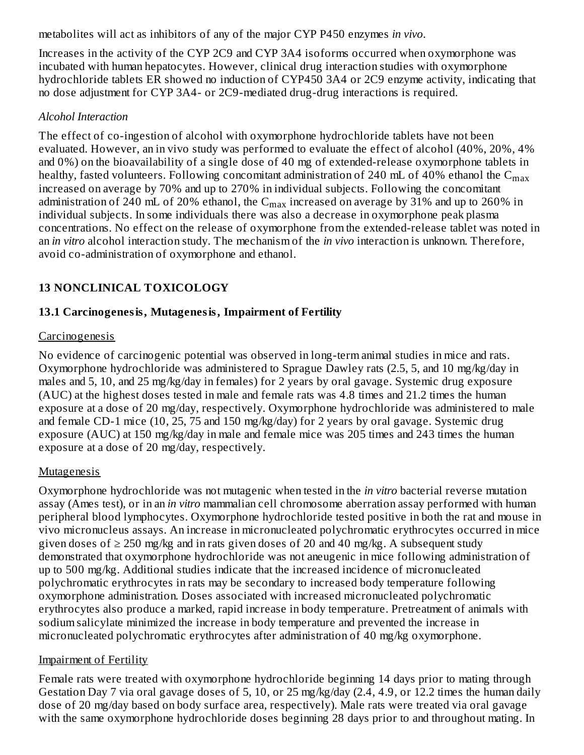metabolites will act as inhibitors of any of the major CYP P450 enzymes *in vivo*.

Increases in the activity of the CYP 2C9 and CYP 3A4 isoforms occurred when oxymorphone was incubated with human hepatocytes. However, clinical drug interaction studies with oxymorphone hydrochloride tablets ER showed no induction of CYP450 3A4 or 2C9 enzyme activity, indicating that no dose adjustment for CYP 3A4- or 2C9-mediated drug-drug interactions is required.

#### *Alcohol Interaction*

The effect of co-ingestion of alcohol with oxymorphone hydrochloride tablets have not been evaluated. However, an in vivo study was performed to evaluate the effect of alcohol (40%, 20%, 4% and 0%) on the bioavailability of a single dose of 40 mg of extended-release oxymorphone tablets in healthy, fasted volunteers. Following concomitant administration of 240 mL of 40% ethanol the  $\rm{C_{max}}$ increased on average by 70% and up to 270% in individual subjects. Following the concomitant administration of 240 mL of 20% ethanol, the  $\rm{C_{max}}$  increased on average by 31% and up to 260% in individual subjects. In some individuals there was also a decrease in oxymorphone peak plasma concentrations. No effect on the release of oxymorphone from the extended-release tablet was noted in an *in vitro* alcohol interaction study. The mechanism of the *in vivo* interaction is unknown. Therefore, avoid co-administration of oxymorphone and ethanol.

# **13 NONCLINICAL TOXICOLOGY**

# **13.1 Carcinogenesis, Mutagenesis, Impairment of Fertility**

#### **Carcinogenesis**

No evidence of carcinogenic potential was observed in long-term animal studies in mice and rats. Oxymorphone hydrochloride was administered to Sprague Dawley rats (2.5, 5, and 10 mg/kg/day in males and 5, 10, and 25 mg/kg/day in females) for 2 years by oral gavage. Systemic drug exposure (AUC) at the highest doses tested in male and female rats was 4.8 times and 21.2 times the human exposure at a dose of 20 mg/day, respectively. Oxymorphone hydrochloride was administered to male and female CD-1 mice (10, 25, 75 and 150 mg/kg/day) for 2 years by oral gavage. Systemic drug exposure (AUC) at 150 mg/kg/day in male and female mice was 205 times and 243 times the human exposure at a dose of 20 mg/day, respectively.

#### **Mutagenesis**

Oxymorphone hydrochloride was not mutagenic when tested in the *in vitro* bacterial reverse mutation assay (Ames test), or in an *in vitro* mammalian cell chromosome aberration assay performed with human peripheral blood lymphocytes. Oxymorphone hydrochloride tested positive in both the rat and mouse in vivo micronucleus assays. An increase in micronucleated polychromatic erythrocytes occurred in mice given doses of  $\geq$  250 mg/kg and in rats given doses of 20 and 40 mg/kg. A subsequent study demonstrated that oxymorphone hydrochloride was not aneugenic in mice following administration of up to 500 mg/kg. Additional studies indicate that the increased incidence of micronucleated polychromatic erythrocytes in rats may be secondary to increased body temperature following oxymorphone administration. Doses associated with increased micronucleated polychromatic erythrocytes also produce a marked, rapid increase in body temperature. Pretreatment of animals with sodium salicylate minimized the increase in body temperature and prevented the increase in micronucleated polychromatic erythrocytes after administration of 40 mg/kg oxymorphone.

#### Impairment of Fertility

Female rats were treated with oxymorphone hydrochloride beginning 14 days prior to mating through Gestation Day 7 via oral gavage doses of 5, 10, or 25 mg/kg/day (2.4, 4.9, or 12.2 times the human daily dose of 20 mg/day based on body surface area, respectively). Male rats were treated via oral gavage with the same oxymorphone hydrochloride doses beginning 28 days prior to and throughout mating. In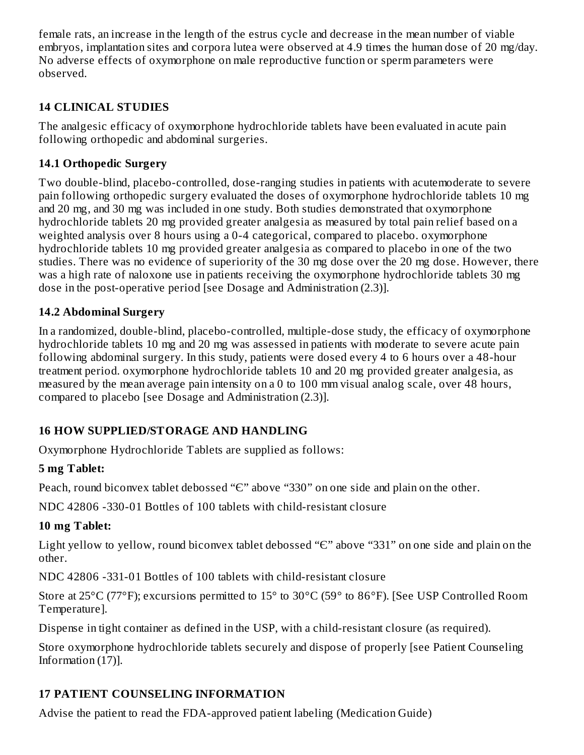female rats, an increase in the length of the estrus cycle and decrease in the mean number of viable embryos, implantation sites and corpora lutea were observed at 4.9 times the human dose of 20 mg/day. No adverse effects of oxymorphone on male reproductive function or sperm parameters were observed.

# **14 CLINICAL STUDIES**

The analgesic efficacy of oxymorphone hydrochloride tablets have been evaluated in acute pain following orthopedic and abdominal surgeries.

# **14.1 Orthopedic Surgery**

Two double-blind, placebo-controlled, dose-ranging studies in patients with acutemoderate to severe pain following orthopedic surgery evaluated the doses of oxymorphone hydrochloride tablets 10 mg and 20 mg, and 30 mg was included in one study. Both studies demonstrated that oxymorphone hydrochloride tablets 20 mg provided greater analgesia as measured by total pain relief based on a weighted analysis over 8 hours using a 0-4 categorical, compared to placebo. oxymorphone hydrochloride tablets 10 mg provided greater analgesia as compared to placebo in one of the two studies. There was no evidence of superiority of the 30 mg dose over the 20 mg dose. However, there was a high rate of naloxone use in patients receiving the oxymorphone hydrochloride tablets 30 mg dose in the post-operative period [see Dosage and Administration (2.3)].

#### **14.2 Abdominal Surgery**

In a randomized, double-blind, placebo-controlled, multiple-dose study, the efficacy of oxymorphone hydrochloride tablets 10 mg and 20 mg was assessed in patients with moderate to severe acute pain following abdominal surgery. In this study, patients were dosed every 4 to 6 hours over a 48-hour treatment period. oxymorphone hydrochloride tablets 10 and 20 mg provided greater analgesia, as measured by the mean average pain intensity on a 0 to 100 mm visual analog scale, over 48 hours, compared to placebo [see Dosage and Administration (2.3)].

# **16 HOW SUPPLIED/STORAGE AND HANDLING**

Oxymorphone Hydrochloride Tablets are supplied as follows:

#### **5 mg Tablet:**

Peach, round biconvex tablet debossed "Є" above "330" on one side and plain on the other.

NDC 42806 -330-01 Bottles of 100 tablets with child-resistant closure

# **10 mg Tablet:**

Light yellow to yellow, round biconvex tablet debossed "Є" above "331" on one side and plain on the other.

NDC 42806 -331-01 Bottles of 100 tablets with child-resistant closure

Store at 25°C (77°F); excursions permitted to 15° to 30°C (59° to 86°F). [See USP Controlled Room Temperature].

Dispense in tight container as defined in the USP, with a child-resistant closure (as required).

Store oxymorphone hydrochloride tablets securely and dispose of properly [see Patient Counseling Information (17)].

# **17 PATIENT COUNSELING INFORMATION**

Advise the patient to read the FDA-approved patient labeling (Medication Guide)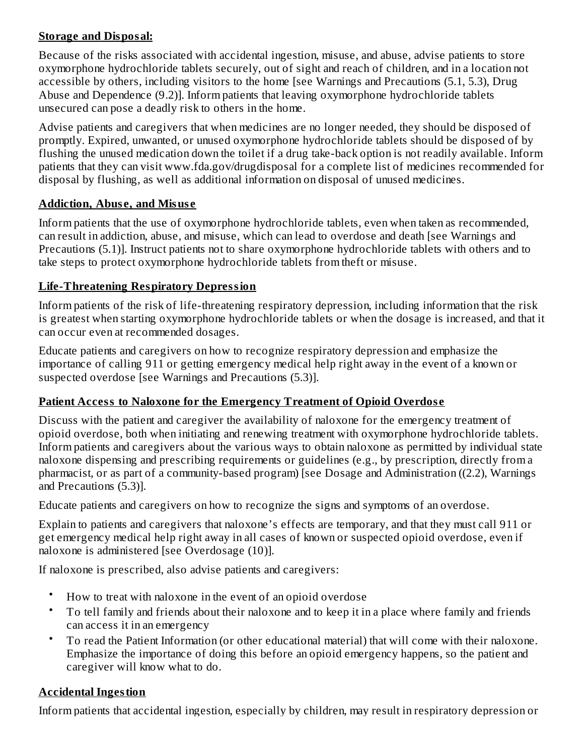#### **Storage and Disposal:**

Because of the risks associated with accidental ingestion, misuse, and abuse, advise patients to store oxymorphone hydrochloride tablets securely, out of sight and reach of children, and in a location not accessible by others, including visitors to the home [see Warnings and Precautions (5.1, 5.3), Drug Abuse and Dependence (9.2)]. Inform patients that leaving oxymorphone hydrochloride tablets unsecured can pose a deadly risk to others in the home.

Advise patients and caregivers that when medicines are no longer needed, they should be disposed of promptly. Expired, unwanted, or unused oxymorphone hydrochloride tablets should be disposed of by flushing the unused medication down the toilet if a drug take-back option is not readily available. Inform patients that they can visit www.fda.gov/drugdisposal for a complete list of medicines recommended for disposal by flushing, as well as additional information on disposal of unused medicines.

# **Addiction, Abus e, and Misus e**

Inform patients that the use of oxymorphone hydrochloride tablets, even when taken as recommended, can result in addiction, abuse, and misuse, which can lead to overdose and death [see Warnings and Precautions (5.1)]. Instruct patients not to share oxymorphone hydrochloride tablets with others and to take steps to protect oxymorphone hydrochloride tablets from theft or misuse.

# **Life-Threatening Respiratory Depression**

Inform patients of the risk of life-threatening respiratory depression, including information that the risk is greatest when starting oxymorphone hydrochloride tablets or when the dosage is increased, and that it can occur even at recommended dosages.

Educate patients and caregivers on how to recognize respiratory depression and emphasize the importance of calling 911 or getting emergency medical help right away in the event of a known or suspected overdose [see Warnings and Precautions (5.3)].

# **Patient Access to Naloxone for the Emergency Treatment of Opioid Overdos e**

Discuss with the patient and caregiver the availability of naloxone for the emergency treatment of opioid overdose, both when initiating and renewing treatment with oxymorphone hydrochloride tablets. Inform patients and caregivers about the various ways to obtain naloxone as permitted by individual state naloxone dispensing and prescribing requirements or guidelines (e.g., by prescription, directly from a pharmacist, or as part of a community-based program) [see Dosage and Administration ((2.2), Warnings and Precautions (5.3)].

Educate patients and caregivers on how to recognize the signs and symptoms of an overdose.

Explain to patients and caregivers that naloxone's effects are temporary, and that they must call 911 or get emergency medical help right away in all cases of known or suspected opioid overdose, even if naloxone is administered [see Overdosage (10)].

If naloxone is prescribed, also advise patients and caregivers:

- How to treat with naloxone in the event of an opioid overdose
- To tell family and friends about their naloxone and to keep it in a place where family and friends can access it in an emergency
- To read the Patient Information (or other educational material) that will come with their naloxone. Emphasize the importance of doing this before an opioid emergency happens, so the patient and caregiver will know what to do.

# **Accidental Ingestion**

Inform patients that accidental ingestion, especially by children, may result in respiratory depression or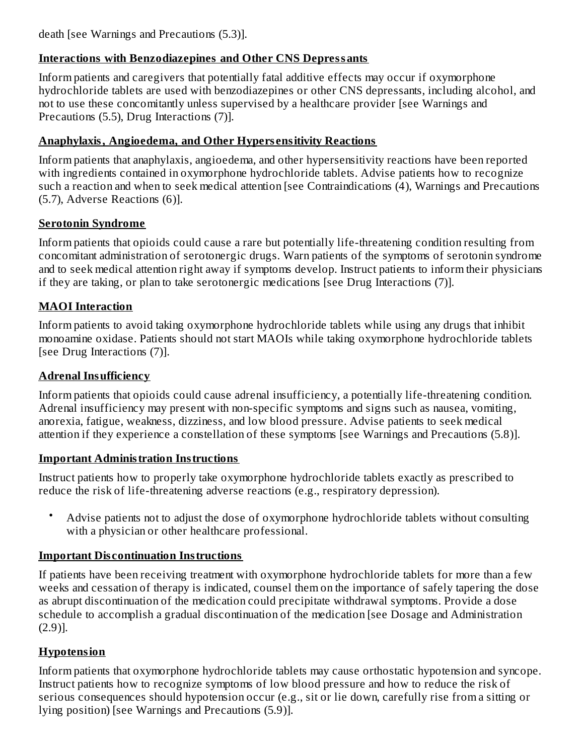death [see Warnings and Precautions (5.3)].

# **Interactions with Benzodiazepines and Other CNS Depressants**

Inform patients and caregivers that potentially fatal additive effects may occur if oxymorphone hydrochloride tablets are used with benzodiazepines or other CNS depressants, including alcohol, and not to use these concomitantly unless supervised by a healthcare provider [see Warnings and Precautions (5.5), Drug Interactions (7)].

# **Anaphylaxis, Angioedema, and Other Hypers ensitivity Reactions**

Inform patients that anaphylaxis, angioedema, and other hypersensitivity reactions have been reported with ingredients contained in oxymorphone hydrochloride tablets. Advise patients how to recognize such a reaction and when to seek medical attention [see Contraindications (4), Warnings and Precautions (5.7), Adverse Reactions (6)].

# **Serotonin Syndrome**

Inform patients that opioids could cause a rare but potentially life-threatening condition resulting from concomitant administration of serotonergic drugs. Warn patients of the symptoms of serotonin syndrome and to seek medical attention right away if symptoms develop. Instruct patients to inform their physicians if they are taking, or plan to take serotonergic medications [see Drug Interactions (7)].

# **MAOI Interaction**

Inform patients to avoid taking oxymorphone hydrochloride tablets while using any drugs that inhibit monoamine oxidase. Patients should not start MAOIs while taking oxymorphone hydrochloride tablets [see Drug Interactions (7)].

# **Adrenal Insufficiency**

Inform patients that opioids could cause adrenal insufficiency, a potentially life-threatening condition. Adrenal insufficiency may present with non-specific symptoms and signs such as nausea, vomiting, anorexia, fatigue, weakness, dizziness, and low blood pressure. Advise patients to seek medical attention if they experience a constellation of these symptoms [see Warnings and Precautions (5.8)].

# **Important Administration Instructions**

Instruct patients how to properly take oxymorphone hydrochloride tablets exactly as prescribed to reduce the risk of life-threatening adverse reactions (e.g., respiratory depression).

• Advise patients not to adjust the dose of oxymorphone hydrochloride tablets without consulting with a physician or other healthcare professional.

# **Important Dis continuation Instructions**

If patients have been receiving treatment with oxymorphone hydrochloride tablets for more than a few weeks and cessation of therapy is indicated, counsel them on the importance of safely tapering the dose as abrupt discontinuation of the medication could precipitate withdrawal symptoms. Provide a dose schedule to accomplish a gradual discontinuation of the medication [see Dosage and Administration  $(2.9)$ ].

# **Hypotension**

Inform patients that oxymorphone hydrochloride tablets may cause orthostatic hypotension and syncope. Instruct patients how to recognize symptoms of low blood pressure and how to reduce the risk of serious consequences should hypotension occur (e.g., sit or lie down, carefully rise from a sitting or lying position) [see Warnings and Precautions (5.9)].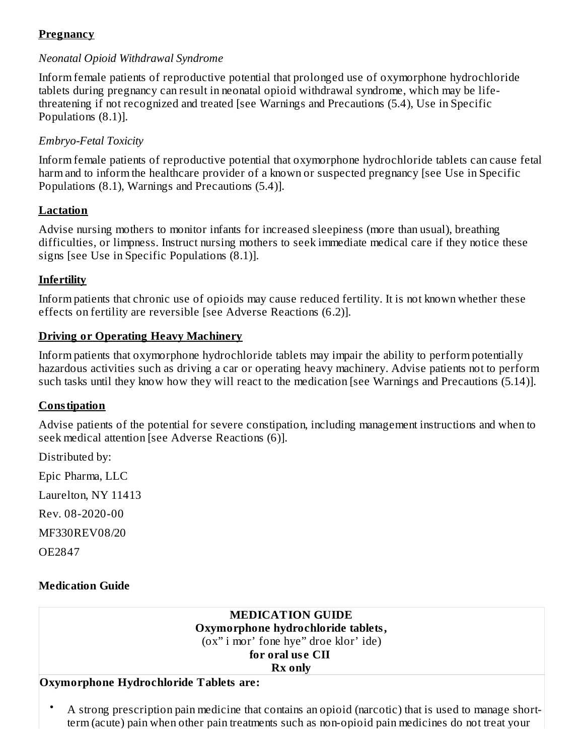# **Pregnancy**

#### *Neonatal Opioid Withdrawal Syndrome*

Inform female patients of reproductive potential that prolonged use of oxymorphone hydrochloride tablets during pregnancy can result in neonatal opioid withdrawal syndrome, which may be lifethreatening if not recognized and treated [see Warnings and Precautions (5.4), Use in Specific Populations (8.1)].

#### *Embryo-Fetal Toxicity*

Inform female patients of reproductive potential that oxymorphone hydrochloride tablets can cause fetal harm and to inform the healthcare provider of a known or suspected pregnancy [see Use in Specific Populations (8.1), Warnings and Precautions (5.4)].

#### **Lactation**

Advise nursing mothers to monitor infants for increased sleepiness (more than usual), breathing difficulties, or limpness. Instruct nursing mothers to seek immediate medical care if they notice these signs [see Use in Specific Populations (8.1)].

#### **Infertility**

Inform patients that chronic use of opioids may cause reduced fertility. It is not known whether these effects on fertility are reversible [see Adverse Reactions (6.2)].

#### **Driving or Operating Heavy Machinery**

Inform patients that oxymorphone hydrochloride tablets may impair the ability to perform potentially hazardous activities such as driving a car or operating heavy machinery. Advise patients not to perform such tasks until they know how they will react to the medication [see Warnings and Precautions (5.14)].

#### **Constipation**

Advise patients of the potential for severe constipation, including management instructions and when to seek medical attention [see Adverse Reactions (6)].

Distributed by: Epic Pharma, LLC Laurelton, NY 11413 Rev. 08-2020-00 MF330REV08/20 OE2847

#### **Medication Guide**

#### **MEDICATION GUIDE Oxymorphone hydrochloride tablets,** (ox" i mor' fone hye" droe klor' ide)

**for oral us e CII**

#### **Rx only**

#### **Oxymorphone Hydrochloride Tablets are:**

• A strong prescription pain medicine that contains an opioid (narcotic) that is used to manage shortterm (acute) pain when other pain treatments such as non-opioid pain medicines do not treat your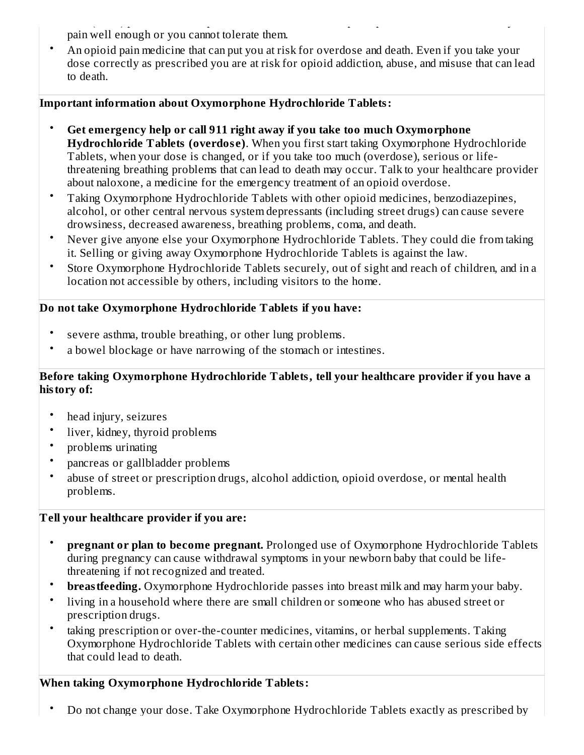term (acute) pain when other pain treatments such as non-opioid pain medicines do not treat your pain well enough or you cannot tolerate them.

• An opioid pain medicine that can put you at risk for overdose and death. Even if you take your dose correctly as prescribed you are at risk for opioid addiction, abuse, and misuse that can lead to death.

#### **Important information about Oxymorphone Hydrochloride Tablets:**

- **Get emergency help or call 911 right away if you take too much Oxymorphone Hydrochloride Tablets (overdos e)**. When you first start taking Oxymorphone Hydrochloride Tablets, when your dose is changed, or if you take too much (overdose), serious or lifethreatening breathing problems that can lead to death may occur. Talk to your healthcare provider about naloxone, a medicine for the emergency treatment of an opioid overdose.
- Taking Oxymorphone Hydrochloride Tablets with other opioid medicines, benzodiazepines, alcohol, or other central nervous system depressants (including street drugs) can cause severe drowsiness, decreased awareness, breathing problems, coma, and death.
- Never give anyone else your Oxymorphone Hydrochloride Tablets. They could die from taking it. Selling or giving away Oxymorphone Hydrochloride Tablets is against the law.
- Store Oxymorphone Hydrochloride Tablets securely, out of sight and reach of children, and in a location not accessible by others, including visitors to the home.

#### **Do not take Oxymorphone Hydrochloride Tablets if you have:**

- severe asthma, trouble breathing, or other lung problems.
- a bowel blockage or have narrowing of the stomach or intestines.

#### **Before taking Oxymorphone Hydrochloride Tablets, tell your healthcare provider if you have a history of:**

- head injury, seizures
- liver, kidney, thyroid problems
- problems urinating
- pancreas or gallbladder problems
- abuse of street or prescription drugs, alcohol addiction, opioid overdose, or mental health problems.

# **Tell your healthcare provider if you are:**

- **pregnant or plan to become pregnant.** Prolonged use of Oxymorphone Hydrochloride Tablets during pregnancy can cause withdrawal symptoms in your newborn baby that could be lifethreatening if not recognized and treated.
- **breastfeeding.** Oxymorphone Hydrochloride passes into breast milk and may harm your baby.
- living in a household where there are small children or someone who has abused street or prescription drugs.
- taking prescription or over-the-counter medicines, vitamins, or herbal supplements. Taking Oxymorphone Hydrochloride Tablets with certain other medicines can cause serious side effects that could lead to death.

# **When taking Oxymorphone Hydrochloride Tablets:**

• Do not change your dose. Take Oxymorphone Hydrochloride Tablets exactly as prescribed by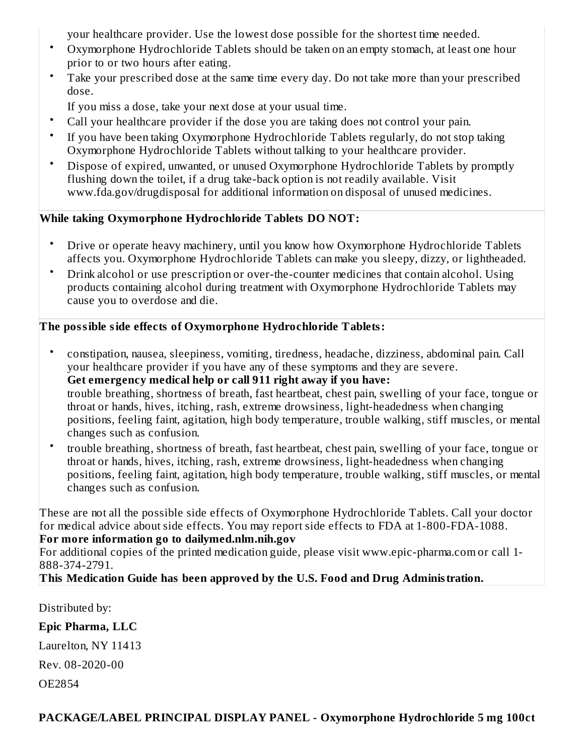your healthcare provider. Use the lowest dose possible for the shortest time needed.

- Oxymorphone Hydrochloride Tablets should be taken on an empty stomach, at least one hour prior to or two hours after eating.
- Take your prescribed dose at the same time every day. Do not take more than your prescribed dose.
	- If you miss a dose, take your next dose at your usual time.
- Call your healthcare provider if the dose you are taking does not control your pain.
- If you have been taking Oxymorphone Hydrochloride Tablets regularly, do not stop taking Oxymorphone Hydrochloride Tablets without talking to your healthcare provider.
- Dispose of expired, unwanted, or unused Oxymorphone Hydrochloride Tablets by promptly flushing down the toilet, if a drug take-back option is not readily available. Visit www.fda.gov/drugdisposal for additional information on disposal of unused medicines.

#### **While taking Oxymorphone Hydrochloride Tablets DO NOT:**

- Drive or operate heavy machinery, until you know how Oxymorphone Hydrochloride Tablets affects you. Oxymorphone Hydrochloride Tablets can make you sleepy, dizzy, or lightheaded.
- Drink alcohol or use prescription or over-the-counter medicines that contain alcohol. Using products containing alcohol during treatment with Oxymorphone Hydrochloride Tablets may cause you to overdose and die.

#### **The possible side effects of Oxymorphone Hydrochloride Tablets:**

- constipation, nausea, sleepiness, vomiting, tiredness, headache, dizziness, abdominal pain. Call your healthcare provider if you have any of these symptoms and they are severe. **Get emergency medical help or call 911 right away if you have:** trouble breathing, shortness of breath, fast heartbeat, chest pain, swelling of your face, tongue or throat or hands, hives, itching, rash, extreme drowsiness, light-headedness when changing positions, feeling faint, agitation, high body temperature, trouble walking, stiff muscles, or mental changes such as confusion.
- trouble breathing, shortness of breath, fast heartbeat, chest pain, swelling of your face, tongue or throat or hands, hives, itching, rash, extreme drowsiness, light-headedness when changing positions, feeling faint, agitation, high body temperature, trouble walking, stiff muscles, or mental changes such as confusion.

These are not all the possible side effects of Oxymorphone Hydrochloride Tablets. Call your doctor for medical advice about side effects. You may report side effects to FDA at 1-800-FDA-1088. **For more information go to dailymed.nlm.nih.gov**

For additional copies of the printed medication guide, please visit www.epic-pharma.com or call 1- 888-374-2791.

**This Medication Guide has been approved by the U.S. Food and Drug Administration.**

Distributed by:

**Epic Pharma, LLC**

Laurelton, NY 11413

Rev. 08-2020-00

OE2854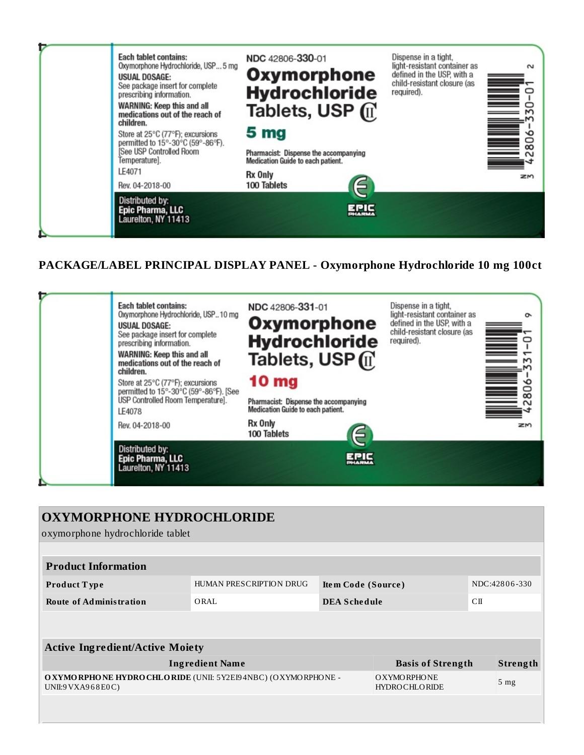

**PACKAGE/LABEL PRINCIPAL DISPLAY PANEL - Oxymorphone Hydrochloride 10 mg 100ct**



| <b>OXYMORPHONE HYDROCHLORIDE</b><br>oxymorphone hydrochloride tablet                             |                         |                           |                                            |  |                 |  |
|--------------------------------------------------------------------------------------------------|-------------------------|---------------------------|--------------------------------------------|--|-----------------|--|
| <b>Product Information</b>                                                                       |                         |                           |                                            |  |                 |  |
|                                                                                                  |                         |                           |                                            |  |                 |  |
| Product Type                                                                                     | HUMAN PRESCRIPTION DRUG | Item Code (Source)        |                                            |  | NDC:42806-330   |  |
| <b>Route of Administration</b>                                                                   | ORAL                    | CП<br><b>DEA Schedule</b> |                                            |  |                 |  |
|                                                                                                  |                         |                           |                                            |  |                 |  |
| <b>Active Ingredient/Active Moiety</b>                                                           |                         |                           |                                            |  |                 |  |
| <b>Ingredient Name</b><br><b>Basis of Strength</b><br>Strength                                   |                         |                           |                                            |  |                 |  |
| <b>O XYMO RPHO NE HYDRO CHLO RIDE (UNII: 5Y2EI9 4NBC) (O XYMO RPHO NE -</b><br>UNII:9 VXA968E0C) |                         |                           | <b>OXYMORPHONE</b><br><b>HYDROCHLORIDE</b> |  | 5 <sub>mg</sub> |  |
|                                                                                                  |                         |                           |                                            |  |                 |  |
|                                                                                                  |                         |                           |                                            |  |                 |  |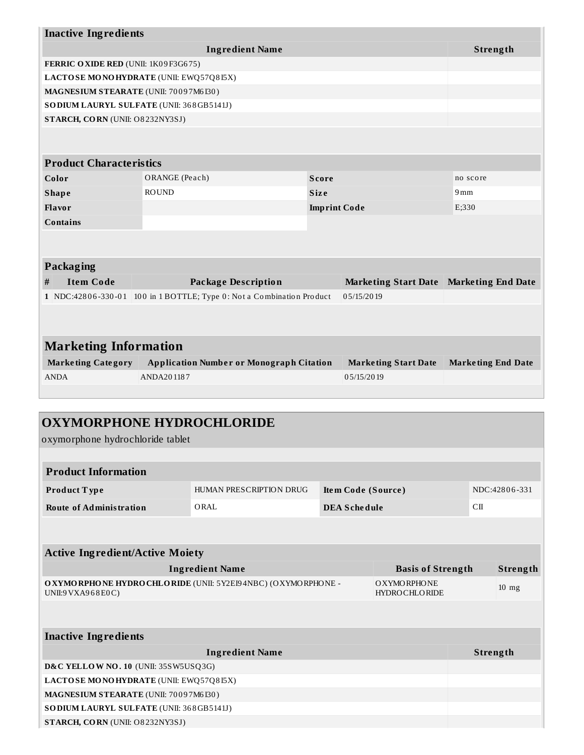| <b>Inactive Ingredients</b>               |                                               |                                                                       |                     |                                         |       |                           |
|-------------------------------------------|-----------------------------------------------|-----------------------------------------------------------------------|---------------------|-----------------------------------------|-------|---------------------------|
|                                           | <b>Ingredient Name</b><br>Strength            |                                                                       |                     |                                         |       |                           |
| FERRIC OXIDE RED (UNII: 1K09F3G675)       |                                               |                                                                       |                     |                                         |       |                           |
| LACTOSE MONOHYDRATE (UNII: EWQ57Q8I5X)    |                                               |                                                                       |                     |                                         |       |                           |
| MAGNESIUM STEARATE (UNII: 70097M6I30)     |                                               |                                                                       |                     |                                         |       |                           |
| SO DIUM LAURYL SULFATE (UNII: 368GB5141J) |                                               |                                                                       |                     |                                         |       |                           |
| STARCH, CORN (UNII: O8232NY3SJ)           |                                               |                                                                       |                     |                                         |       |                           |
|                                           |                                               |                                                                       |                     |                                         |       |                           |
| <b>Product Characteristics</b>            |                                               |                                                                       |                     |                                         |       |                           |
| Color                                     | ORANGE (Peach)                                |                                                                       | <b>Score</b>        |                                         |       | no score                  |
|                                           | <b>ROUND</b>                                  |                                                                       | <b>Size</b>         |                                         |       |                           |
| <b>Shape</b>                              |                                               |                                                                       |                     |                                         | 9mm   |                           |
| Flavor                                    |                                               |                                                                       | <b>Imprint Code</b> |                                         | E;330 |                           |
| <b>Contains</b>                           |                                               |                                                                       |                     |                                         |       |                           |
|                                           |                                               |                                                                       |                     |                                         |       |                           |
| Packaging                                 |                                               |                                                                       |                     |                                         |       |                           |
| <b>Item Code</b><br>#                     |                                               | <b>Package Description</b>                                            |                     | Marketing Start Date Marketing End Date |       |                           |
|                                           |                                               | 1 NDC:42806-330-01 100 in 1 BOTTLE; Type 0: Not a Combination Product |                     | 05/15/2019                              |       |                           |
|                                           |                                               |                                                                       |                     |                                         |       |                           |
|                                           |                                               |                                                                       |                     |                                         |       |                           |
|                                           |                                               |                                                                       |                     |                                         |       |                           |
| <b>Marketing Information</b>              |                                               |                                                                       |                     |                                         |       |                           |
| <b>Marketing Category</b>                 |                                               | <b>Application Number or Monograph Citation</b>                       |                     | <b>Marketing Start Date</b>             |       | <b>Marketing End Date</b> |
| <b>ANDA</b>                               | ANDA201187                                    |                                                                       |                     | 05/15/2019                              |       |                           |
|                                           |                                               |                                                                       |                     |                                         |       |                           |
|                                           |                                               |                                                                       |                     |                                         |       |                           |
| <b>OXYMORPHONE HYDROCHLORIDE</b>          |                                               |                                                                       |                     |                                         |       |                           |
| oxymorphone hydrochloride tablet          |                                               |                                                                       |                     |                                         |       |                           |
|                                           |                                               |                                                                       |                     |                                         |       |                           |
| <b>Product Information</b>                |                                               |                                                                       |                     |                                         |       |                           |
| Product Type                              | HUMAN PRESCRIPTION DRUG<br>Item Code (Source) |                                                                       |                     | NDC:42806-331                           |       |                           |
| <b>Route of Administration</b>            |                                               | ORAL                                                                  |                     | <b>DEA Schedule</b>                     |       | C <sub>II</sub>           |
|                                           |                                               |                                                                       |                     |                                         |       |                           |
|                                           |                                               |                                                                       |                     |                                         |       |                           |
| <b>Active Ingredient/Active Moiety</b>    |                                               |                                                                       |                     |                                         |       |                           |

| Ingredient Name                                                                               | <b>Basis of Strength</b>            | Strength |
|-----------------------------------------------------------------------------------------------|-------------------------------------|----------|
| <b>O XYMO RPHONE HYDRO CHLO RIDE (UNII: 5Y2EI94NBC) (O XYMO RPHONE -</b><br>UNII:9 VXA968E0C) | <b>OXYMORPHONE</b><br>HYDROCHLORIDE | $10$ mg  |
|                                                                                               |                                     |          |

| <b>Inactive Ingredients</b>                   |          |  |  |  |  |
|-----------------------------------------------|----------|--|--|--|--|
| <b>Ingredient Name</b>                        | Strength |  |  |  |  |
| D&C YELLOW NO. 10 (UNII: 35SW5USQ3G)          |          |  |  |  |  |
| <b>LACTOSE MONOHYDRATE (UNII: EWQ57Q8I5X)</b> |          |  |  |  |  |
| MAGNESIUM STEARATE (UNII: 70097M6I30)         |          |  |  |  |  |
| SO DIUM LAURYL SULFATE (UNII: 368GB5141J)     |          |  |  |  |  |
| <b>STARCH, CORN (UNII: O8232NY3SJ)</b>        |          |  |  |  |  |